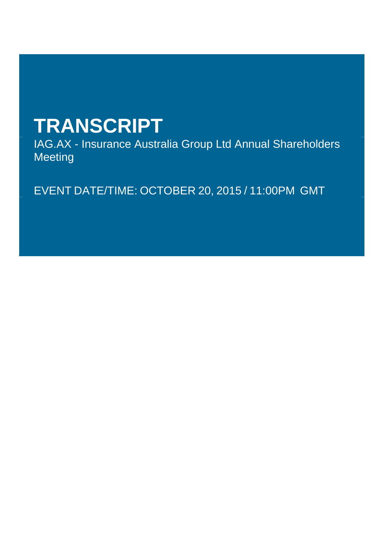# **TRANSCRIPT**

IAG.AX - Insurance Australia Group Ltd Annual Shareholders Meeting

EVENT DATE/TIME: OCTOBER 20, 2015 / 11:00PM GMT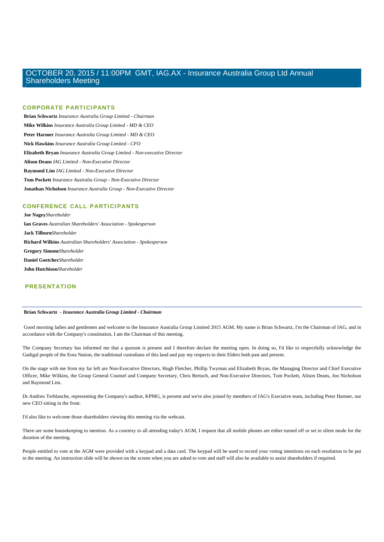### **CORPORATE PARTICIPANTS**

 **Brian Schwartz** *Insurance Australia Group Limited - Chairman*   **Mike Wilkins** *Insurance Australia Group Limited - MD & CEO*   **Peter Harmer** *Insurance Australia Group Limited - MD & CEO*   **Nick Hawkins** *Insurance Australia Group Limited - CFO*   **Elizabeth Bryan** *Insurance Australia Group Limited - Non-executive Director*   **Alison Deans** *IAG Limited - Non-Executive Director*   **Raymond Lim** *IAG Limited - Non-Executive Director*   **Tom Pockett** *Insurance Australia Group - Non-Executive Director*   **Jonathan Nicholson** *Insurance Australia Group - Non-Executive Director* 

### **CONFERENCE CALL PARTICIPANTS**

 **Joe Nagey***Shareholder*   **Ian Graves** *Australian Shareholders' Association - Spokesperson*   **Jack Tilburn***Shareholder*   **Richard Wilkins** *Australian Shareholders' Association - Spokesperson*   **Gregory Simone***Shareholder*   **Daniel Goetcher***Shareholder*   **John Hutchison***Shareholder* 

### **PRESENTATION**

### **Brian Schwartz** *- Insurance Australia Group Limited - Chairman*

 Good morning ladies and gentlemen and welcome to the Insurance Australia Group Limited 2015 AGM. My name is Brian Schwartz, I'm the Chairman of IAG, and in accordance with the Company's constitution, I am the Chairman of this meeting.

The Company Secretary has informed me that a quorum is present and I therefore declare the meeting open. In doing so, I'd like to respectfully acknowledge the Gadigal people of the Eora Nation, the traditional custodians of this land and pay my respects to their Elders both past and present.

On the stage with me from my far left are Non-Executive Directors, Hugh Fletcher, Phillip Twyman and Elizabeth Bryan, the Managing Director and Chief Executive Officer, Mike Wilkins, the Group General Counsel and Company Secretary, Chris Bertuch, and Non-Executive Directors, Tom Pockett, Alison Deans, Jon Nicholson and Raymond Lim.

Dr.Andries Terblanche, representing the Company's auditor, KPMG, is present and we're also joined by members of IAG's Executive team, including Peter Harmer, our new CEO sitting in the front.

I'd also like to welcome those shareholders viewing this meeting via the webcast.

There are some housekeeping to mention. As a courtesy to all attending today's AGM, I request that all mobile phones are either turned off or set to silent mode for the duration of the meeting.

People entitled to vote at the AGM were provided with a keypad and a data card. The keypad will be used to record your voting intentions on each resolution to be put to the meeting. An instruction slide will be shown on the screen when you are asked to vote and staff will also be available to assist shareholders if required.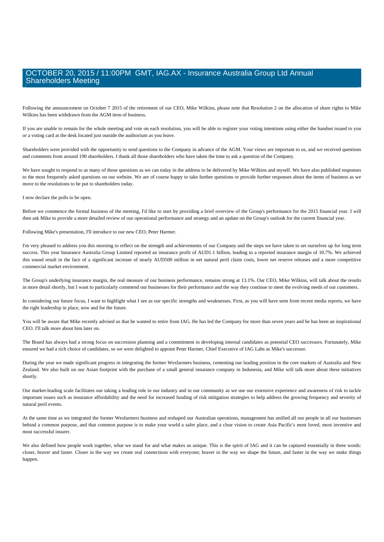Following the announcement on October 7 2015 of the retirement of our CEO, Mike Wilkins, please note that Resolution 2 on the allocation of share rights to Mike Wilkins has been withdrawn from the AGM item of business.

If you are unable to remain for the whole meeting and vote on each resolution, you will be able to register your voting intentions using either the handset issued to you or a voting card at the desk located just outside the auditorium as you leave.

Shareholders were provided with the opportunity to send questions to the Company in advance of the AGM. Your views are important to us, and we received questions and comments from around 190 shareholders. I thank all those shareholders who have taken the time to ask a question of the Company.

We have sought to respond to as many of those questions as we can today in the address to be delivered by Mike Wilkins and myself. We have also published responses to the most frequently asked questions on our website. We are of course happy to take further questions or provide further responses about the items of business as we move to the resolutions to be put to shareholders today.

I now declare the polls to be open.

Before we commence the formal business of the meeting, I'd like to start by providing a brief overview of the Group's performance for the 2015 financial year. I will then ask Mike to provide a more detailed review of our operational performance and strategy and an update on the Group's outlook for the current financial year.

Following Mike's presentation, I'll introduce to our new CEO, Peter Harmer.

I'm very pleased to address you this morning to reflect on the strength and achievements of our Company and the steps we have taken to set ourselves up for long term success. This year Insurance Australia Group Limited reported an insurance profit of AUD1.1 billion, leading to a reported insurance margin of 10.7%. We achieved this sound result in the face of a significant increase of nearly AUD500 million in net natural peril claim costs, lower net reserve releases and a more competitive commercial market environment.

The Group's underlying insurance margin, the real measure of our business performance, remains strong at 13.1%. Our CEO, Mike Wilkins, will talk about the results in more detail shortly, but I want to particularly commend our businesses for their performance and the way they continue to meet the evolving needs of our customers.

In considering our future focus, I want to highlight what I see as our specific strengths and weaknesses. First, as you will have seen from recent media reports, we have the right leadership in place, now and for the future.

You will be aware that Mike recently advised us that he wanted to retire from IAG. He has led the Company for more than seven years and he has been an inspirational CEO. I'll talk more about him later on.

The Board has always had a strong focus on succession planning and a commitment to developing internal candidates as potential CEO successors. Fortunately, Mike ensured we had a rich choice of candidates, so we were delighted to appoint Peter Harmer, Chief Executive of IAG Labs as Mike's successor.

During the year we made significant progress in integrating the former Wesfarmers business, cementing our leading position in the core markets of Australia and New Zealand. We also built on our Asian footprint with the purchase of a small general insurance company in Indonesia, and Mike will talk more about these initiatives shortly.

Our market-leading scale facilitates our taking a leading role in our industry and in our community as we use our extensive experience and awareness of risk to tackle important issues such as insurance affordability and the need for increased funding of risk mitigation strategies to help address the growing frequency and severity of natural peril events.

At the same time as we integrated the former Wesfarmers business and reshaped our Australian operations, management has unified all our people in all our businesses behind a common purpose, and that common purpose is to make your world a safer place, and a clear vision to create Asia Pacific's most loved, most inventive and most successful insurer.

We also defined how people work together, what we stand for and what makes us unique. This is the spirit of IAG and it can be captured essentially in three words: closer, braver and faster. Closer in the way we create real connections with everyone; braver in the way we shape the future, and faster in the way we make things happen.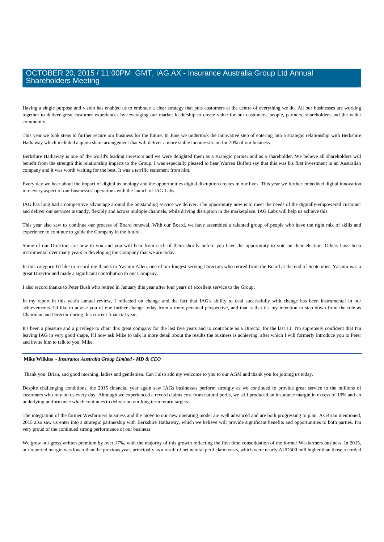Having a single purpose and vision has enabled us to embrace a clear strategy that puts customers at the centre of everything we do. All our businesses are working together to deliver great customer experiences by leveraging our market leadership to create value for our customers, people, partners, shareholders and the wider community.

This year we took steps to further secure our business for the future. In June we undertook the innovative step of entering into a strategic relationship with Berkshire Hathaway which included a quota share arrangement that will deliver a more stable income stream for 20% of our business.

Berkshire Hathaway is one of the world's leading investors and we were delighted them as a strategic partner and as a shareholder. We believe all shareholders will benefit from the strength this relationship imparts to the Group. I was especially pleased to hear Warren Buffett say that this was his first investment in an Australian company and it was worth waiting for the best. It was a terrific statement from him.

Every day we hear about the impact of digital technology and the opportunities digital disruption creates in our lives. This year we further embedded digital innovation into every aspect of our businesses' operations with the launch of IAG Labs.

IAG has long had a competitive advantage around the outstanding service we deliver. The opportunity now is to meet the needs of the digitally-empowered customer and deliver our services instantly, flexibly and across multiple channels, while driving disruption in the marketplace. IAG Labs will help us achieve this.

This year also saw us continue our process of Board renewal. With our Board, we have assembled a talented group of people who have the right mix of skills and experience to continue to guide the Company in the future.

Some of our Directors are new to you and you will hear from each of them shortly before you have the opportunity to vote on their election. Others have been instrumental over many years in developing the Company that we are today.

In this category I'd like to record my thanks to Yasmin Allen, one of our longest serving Directors who retired from the Board at the end of September. Yasmin was a great Director and made a significant contribution to our Company.

I also record thanks to Peter Bush who retired in January this year after four years of excellent service to the Group.

In my report in this year's annual review, I reflected on change and the fact that IAG's ability to deal successfully with change has been instrumental in our achievements. I'd like to advise you of one further change today from a more personal perspective, and that is that it's my intention to step down from the role as Chairman and Director during this current financial year.

It's been a pleasure and a privilege to chair this great company for the last five years and to contribute as a Director for the last 11. I'm supremely confident that I'm leaving IAG in very good shape. I'll now ask Mike to talk in more detail about the results the business is achieving, after which I will formerly introduce you to Peter and invite him to talk to you. Mike.

### **Mike Wilkins** *- Insurance Australia Group Limited - MD & CEO*

Thank you, Brian, and good morning, ladies and gentlemen. Can I also add my welcome to you to our AGM and thank you for joining us today.

Despite challenging conditions, the 2015 financial year again saw IAGs businesses perform strongly as we continued to provide great service to the millions of customers who rely on us every day. Although we experienced a record claims cost from natural perils, we still produced an insurance margin in excess of 10% and an underlying performance which continues to deliver on our long term return targets.

The integration of the former Wesfarmers business and the move to our new operating model are well advanced and are both progressing to plan. As Brian mentioned, 2015 also saw us enter into a strategic partnership with Berkshire Hathaway, which we believe will provide significant benefits and opportunities to both parties. I'm very proud of the continued strong performance of our business.

We grew our gross written premium by over 17%, with the majority of this growth reflecting the first time consolidation of the former Wesfarmers business. In 2015, our reported margin was lower than the previous year, principally as a result of net natural peril claim costs, which were nearly AUD500 mill higher than those recorded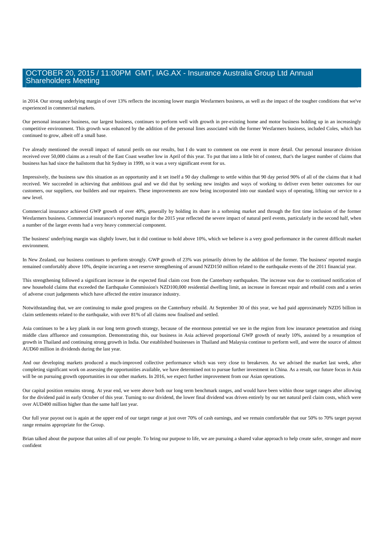in 2014. Our strong underlying margin of over 13% reflects the incoming lower margin Wesfarmers business, as well as the impact of the tougher conditions that we've experienced in commercial markets.

Our personal insurance business, our largest business, continues to perform well with growth in pre-existing home and motor business holding up in an increasingly competitive environment. This growth was enhanced by the addition of the personal lines associated with the former Wesfarmers business, included Coles, which has continued to grow, albeit off a small base.

I've already mentioned the overall impact of natural perils on our results, but I do want to comment on one event in more detail. Our personal insurance division received over 50,000 claims as a result of the East Coast weather low in April of this year. To put that into a little bit of context, that's the largest number of claims that business has had since the hailstorm that hit Sydney in 1999, so it was a very significant event for us.

Impressively, the business saw this situation as an opportunity and it set itself a 90 day challenge to settle within that 90 day period 90% of all of the claims that it had received. We succeeded in achieving that ambitious goal and we did that by seeking new insights and ways of working to deliver even better outcomes for our customers, our suppliers, our builders and our repairers. These improvements are now being incorporated into our standard ways of operating, lifting our service to a new level.

Commercial insurance achieved GWP growth of over 40%, generally by holding its share in a softening market and through the first time inclusion of the former Wesfarmers business. Commercial insurance's reported margin for the 2015 year reflected the severe impact of natural peril events, particularly in the second half, when a number of the larger events had a very heavy commercial component.

The business' underlying margin was slightly lower, but it did continue to hold above 10%, which we believe is a very good performance in the current difficult market environment.

In New Zealand, our business continues to perform strongly. GWP growth of 23% was primarily driven by the addition of the former. The business' reported margin remained comfortably above 10%, despite incurring a net reserve strengthening of around NZD150 million related to the earthquake events of the 2011 financial year.

This strengthening followed a significant increase in the expected final claim cost from the Canterbury earthquakes. The increase was due to continued notification of new household claims that exceeded the Earthquake Commission's NZD100,000 residential dwelling limit, an increase in forecast repair and rebuild costs and a series of adverse court judgements which have affected the entire insurance industry.

Notwithstanding that, we are continuing to make good progress on the Canterbury rebuild. At September 30 of this year, we had paid approximately NZD5 billion in claim settlements related to the earthquake, with over 81% of all claims now finalised and settled.

Asia continues to be a key plank in our long term growth strategy, because of the enormous potential we see in the region from low insurance penetration and rising middle class affluence and consumption. Demonstrating this, our business in Asia achieved proportional GWP growth of nearly 10%, assisted by a resumption of growth in Thailand and continuing strong growth in India. Our established businesses in Thailand and Malaysia continue to perform well, and were the source of almost AUD60 million in dividends during the last year.

And our developing markets produced a much-improved collective performance which was very close to breakeven. As we advised the market last week, after completing significant work on assessing the opportunities available, we have determined not to pursue further investment in China. As a result, our future focus in Asia will be on pursuing growth opportunities in our other markets. In 2016, we expect further improvement from our Asian operations.

Our capital position remains strong. At year end, we were above both our long term benchmark ranges, and would have been within those target ranges after allowing for the dividend paid in early October of this year. Turning to our dividend, the lower final dividend was driven entirely by our net natural peril claim costs, which were over AUD400 million higher than the same half last year.

Our full year payout out is again at the upper end of our target range at just over 70% of cash earnings, and we remain comfortable that our 50% to 70% target payout range remains appropriate for the Group.

Brian talked about the purpose that unites all of our people. To bring our purpose to life, we are pursuing a shared value approach to help create safer, stronger and more confident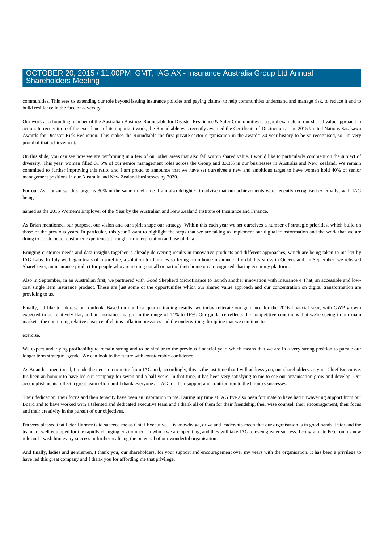communities. This sees us extending our role beyond issuing insurance policies and paying claims, to help communities understand and manage risk, to reduce it and to build resilience in the face of adversity.

Our work as a founding member of the Australian Business Roundtable for Disaster Resilience & Safer Communities is a good example of our shared value approach in action. In recognition of the excellence of its important work, the Roundtable was recently awarded the Certificate of Distinction at the 2015 United Nations Sasakawa Awards for Disaster Risk Reduction. This makes the Roundtable the first private sector organisation in the awards' 30-year history to be so recognised, so I'm very proud of that achievement.

On this slide, you can see how we are performing in a few of our other areas that also fall within shared value. I would like to particularly comment on the subject of diversity. This year, women filled 31.5% of our senior management roles across the Group and 33.3% in our businesses in Australia and New Zealand. We remain committed to further improving this ratio, and I am proud to announce that we have set ourselves a new and ambitious target to have women hold 40% of senior management positions in our Australia and New Zealand businesses by 2020.

For our Asia business, this target is 30% in the same timeframe. I am also delighted to advise that our achievements were recently recognised externally, with IAG being

named as the 2015 Women's Employer of the Year by the Australian and New Zealand Institute of Insurance and Finance.

As Brian mentioned, our purpose, our vision and our spirit shape our strategy. Within this each year we set ourselves a number of strategic priorities, which build on those of the previous years. In particular, this year I want to highlight the steps that we are taking to implement our digital transformation and the work that we are doing to create better customer experiences through our interpretation and use of data.

Bringing customer needs and data insights together is already delivering results in innovative products and different approaches, which are being taken to market by IAG Labs. In July we began trials of InsureLite, a solution for families suffering from home insurance affordability stress in Queensland. In September, we released ShareCover, an insurance product for people who are renting out all or part of their home on a recognised sharing economy platform.

Also in September, in an Australian first, we partnered with Good Shepherd Microfinance to launch another innovation with Insurance 4 That, an accessible and lowcost single item insurance product. These are just some of the opportunities which our shared value approach and our concentration on digital transformation are providing to us.

Finally, I'd like to address our outlook. Based on our first quarter trading results, we today reiterate our guidance for the 2016 financial year, with GWP growth expected to be relatively flat, and an insurance margin in the range of 14% to 16%. Our guidance reflects the competitive conditions that we're seeing in our main markets, the continuing relative absence of claims inflation pressures and the underwriting discipline that we continue to

### exercise.

We expect underlying profitability to remain strong and to be similar to the previous financial year, which means that we are in a very strong position to pursue our longer term strategic agenda. We can look to the future with considerable confidence.

As Brian has mentioned, I made the decision to retire from IAG and, accordingly, this is the last time that I will address you, our shareholders, as your Chief Executive. It's been an honour to have led our company for seven and a half years. In that time, it has been very satisfying to me to see our organisation grow and develop. Our accomplishments reflect a great team effort and I thank everyone at IAG for their support and contribution to the Group's successes.

Their dedication, their focus and their tenacity have been an inspiration to me. During my time at IAG I've also been fortunate to have had unwavering support from our Board and to have worked with a talented and dedicated executive team and I thank all of them for their friendship, their wise counsel, their encouragement, their focus and their creativity in the pursuit of our objectives.

I'm very pleased that Peter Harmer is to succeed me as Chief Executive. His knowledge, drive and leadership mean that our organisation is in good hands. Peter and the team are well equipped for the rapidly changing environment in which we are operating, and they will take IAG to even greater success. I congratulate Peter on his new role and I wish him every success in further realising the potential of our wonderful organisation.

And finally, ladies and gentlemen, I thank you, our shareholders, for your support and encouragement over my years with the organisation. It has been a privilege to have led this great company and I thank you for affording me that privilege.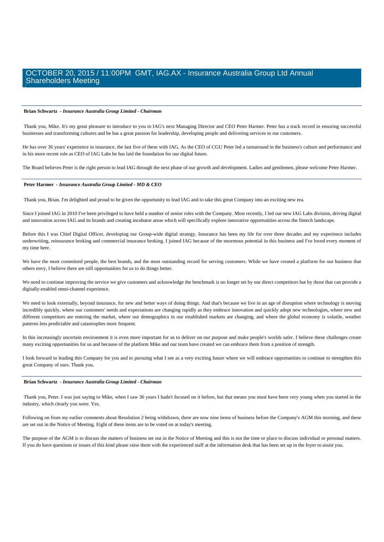#### **Brian Schwartz** *- Insurance Australia Group Limited - Chairman*

 Thank you, Mike. It's my great pleasure to introduce to you to IAG's next Managing Director and CEO Peter Harmer. Peter has a track record in ensuring successful businesses and transforming cultures and he has a great passion for leadership, developing people and delivering services to our customers.

He has over 36 years' experience in insurance, the last five of these with IAG. As the CEO of CGU Peter led a turnaround in the business's culture and performance and in his more recent role as CEO of IAG Labs he has laid the foundation for our digital future.

The Board believes Peter is the right person to lead IAG through the next phase of our growth and development. Ladies and gentlemen, please welcome Peter Harmer.

### **Peter Harmer** *- Insurance Australia Group Limited - MD & CEO*

Thank you, Brian. I'm delighted and proud to be given the opportunity to lead IAG and to take this great Company into an exciting new era.

Since I joined IAG in 2010 I've been privileged to have held a number of senior roles with the Company. Most recently, I led our new IAG Labs division, driving digital and innovation across IAG and its brands and creating incubator areas which will specifically explore innovative opportunities across the fintech landscape.

Before this I was Chief Digital Officer, developing our Group-wide digital strategy. Insurance has been my life for over three decades and my experience includes underwriting, reinsurance broking and commercial insurance broking. I joined IAG because of the enormous potential in this business and I've loved every moment of my time here.

We have the most committed people, the best brands, and the most outstanding record for serving customers. While we have created a platform for our business that others envy, I believe there are still opportunities for us to do things better.

We need to continue improving the service we give customers and acknowledge the benchmark is no longer set by our direct competitors but by those that can provide a digitally-enabled omni-channel experience.

We need to look externally, beyond insurance, for new and better ways of doing things. And that's because we live in an age of disruption where technology is moving incredibly quickly, where our customers' needs and expectations are changing rapidly as they embrace innovation and quickly adopt new technologies, where new and different competitors are entering the market, where our demographics in our established markets are changing, and where the global economy is volatile, weather patterns less predictable and catastrophes more frequent.

In this increasingly uncertain environment it is even more important for us to deliver on our purpose and make people's worlds safer. I believe these challenges create many exciting opportunities for us and because of the platform Mike and our team have created we can embrace them from a position of strength.

I look forward to leading this Company for you and to pursuing what I see as a very exciting future where we will embrace opportunities to continue to strengthen this great Company of ours. Thank you.

#### **Brian Schwartz** *- Insurance Australia Group Limited - Chairman*

 Thank you, Peter. I was just saying to Mike, when I saw 36 years I hadn't focused on it before, but that means you must have been very young when you started in the industry, which clearly you were. Yes.

Following on from my earlier comments about Resolution 2 being withdrawn, there are now nine items of business before the Company's AGM this morning, and these are set out in the Notice of Meeting. Eight of these items are to be voted on at today's meeting.

The purpose of the AGM is to discuss the matters of business set out in the Notice of Meeting and this is not the time or place to discuss individual or personal matters. If you do have questions or issues of this kind please raise them with the experienced staff at the information desk that has been set up in the foyer to assist you.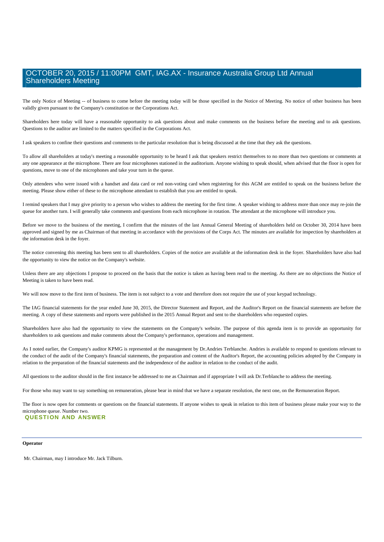The only Notice of Meeting -- of business to come before the meeting today will be those specified in the Notice of Meeting. No notice of other business has been validly given pursuant to the Company's constitution or the Corporations Act.

Shareholders here today will have a reasonable opportunity to ask questions about and make comments on the business before the meeting and to ask questions. Questions to the auditor are limited to the matters specified in the Corporations Act.

I ask speakers to confine their questions and comments to the particular resolution that is being discussed at the time that they ask the questions.

To allow all shareholders at today's meeting a reasonable opportunity to be heard I ask that speakers restrict themselves to no more than two questions or comments at any one appearance at the microphone. There are four microphones stationed in the auditorium. Anyone wishing to speak should, when advised that the floor is open for questions, move to one of the microphones and take your turn in the queue.

Only attendees who were issued with a handset and data card or red non-voting card when registering for this AGM are entitled to speak on the business before the meeting. Please show either of these to the microphone attendant to establish that you are entitled to speak.

I remind speakers that I may give priority to a person who wishes to address the meeting for the first time. A speaker wishing to address more than once may re-join the queue for another turn. I will generally take comments and questions from each microphone in rotation. The attendant at the microphone will introduce you.

Before we move to the business of the meeting, I confirm that the minutes of the last Annual General Meeting of shareholders held on October 30, 2014 have been approved and signed by me as Chairman of that meeting in accordance with the provisions of the Corps Act. The minutes are available for inspection by shareholders at the information desk in the foyer.

The notice convening this meeting has been sent to all shareholders. Copies of the notice are available at the information desk in the foyer. Shareholders have also had the opportunity to view the notice on the Company's website.

Unless there are any objections I propose to proceed on the basis that the notice is taken as having been read to the meeting. As there are no objections the Notice of Meeting is taken to have been read.

We will now move to the first item of business. The item is not subject to a vote and therefore does not require the use of your keypad technology.

The IAG financial statements for the year ended June 30, 2015, the Director Statement and Report, and the Auditor's Report on the financial statements are before the meeting. A copy of these statements and reports were published in the 2015 Annual Report and sent to the shareholders who requested copies.

Shareholders have also had the opportunity to view the statements on the Company's website. The purpose of this agenda item is to provide an opportunity for shareholders to ask questions and make comments about the Company's performance, operations and management.

As I noted earlier, the Company's auditor KPMG is represented at the management by Dr.Andries Terblanche. Andries is available to respond to questions relevant to the conduct of the audit of the Company's financial statements, the preparation and content of the Auditor's Report, the accounting policies adopted by the Company in relation to the preparation of the financial statements and the independence of the auditor in relation to the conduct of the audit.

All questions to the auditor should in the first instance be addressed to me as Chairman and if appropriate I will ask Dr.Terblanche to address the meeting.

For those who may want to say something on remuneration, please bear in mind that we have a separate resolution, the next one, on the Remuneration Report.

The floor is now open for comments or questions on the financial statements. If anyone wishes to speak in relation to this item of business please make your way to the microphone queue. Number two.

### **QUESTION AND ANSWER**

### **Operator**

Mr. Chairman, may I introduce Mr. Jack Tilburn.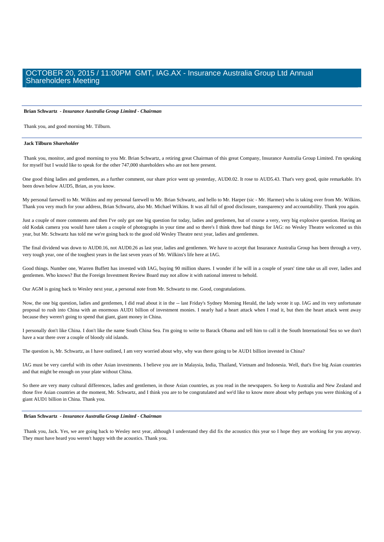### **Brian Schwartz** *- Insurance Australia Group Limited - Chairman*

Thank you, and good morning Mr. Tilburn.

#### **Jack Tilburn** *Shareholder*

 Thank you, monitor, and good morning to you Mr. Brian Schwartz, a retiring great Chairman of this great Company, Insurance Australia Group Limited. I'm speaking for myself but I would like to speak for the other 747,000 shareholders who are not here present.

One good thing ladies and gentlemen, as a further comment, our share price went up yesterday, AUD0.02. It rose to AUD5.43. That's very good, quite remarkable. It's been down below AUD5, Brian, as you know.

My personal farewell to Mr. Wilkins and my personal farewell to Mr. Brian Schwartz, and hello to Mr. Harper (sic - Mr. Harmer) who is taking over from Mr. Wilkins. Thank you very much for your address, Brian Schwartz, also Mr. Michael Wilkins. It was all full of good disclosure, transparency and accountability. Thank you again.

Just a couple of more comments and then I've only got one big question for today, ladies and gentlemen, but of course a very, very big explosive question. Having an old Kodak camera you would have taken a couple of photographs in your time and so there's I think three bad things for IAG: no Wesley Theatre welcomed us this year, but Mr. Schwartz has told me we're going back to the good old Wesley Theatre next year, ladies and gentlemen.

The final dividend was down to AUD0.16, not AUD0.26 as last year, ladies and gentlemen. We have to accept that Insurance Australia Group has been through a very, very tough year, one of the toughest years in the last seven years of Mr. Wilkins's life here at IAG.

Good things. Number one, Warren Buffett has invested with IAG, buying 90 million shares. I wonder if he will in a couple of years' time take us all over, ladies and gentlemen. Who knows? But the Foreign Investment Review Board may not allow it with national interest to behold.

Our AGM is going back to Wesley next year, a personal note from Mr. Schwartz to me. Good, congratulations.

Now, the one big question, ladies and gentlemen, I did read about it in the -- last Friday's Sydney Morning Herald, the lady wrote it up. IAG and its very unfortunate proposal to rush into China with an enormous AUD1 billion of investment monies. I nearly had a heart attack when I read it, but then the heart attack went away because they weren't going to spend that giant, giant money in China.

I personally don't like China. I don't like the name South China Sea. I'm going to write to Barack Obama and tell him to call it the South International Sea so we don't have a war there over a couple of bloody old islands.

The question is, Mr. Schwartz, as I have outlined, I am very worried about why, why was there going to be AUD1 billion invested in China?

IAG must be very careful with its other Asian investments. I believe you are in Malaysia, India, Thailand, Vietnam and Indonesia. Well, that's five big Asian countries and that might be enough on your plate without China.

So there are very many cultural differences, ladies and gentlemen, in those Asian countries, as you read in the newspapers. So keep to Australia and New Zealand and those five Asian countries at the moment, Mr. Schwartz, and I think you are to be congratulated and we'd like to know more about why perhaps you were thinking of a giant AUD1 billion in China. Thank you.

#### **Brian Schwartz** *- Insurance Australia Group Limited - Chairman*

 Thank you, Jack. Yes, we are going back to Wesley next year, although I understand they did fix the acoustics this year so I hope they are working for you anyway. They must have heard you weren't happy with the acoustics. Thank you.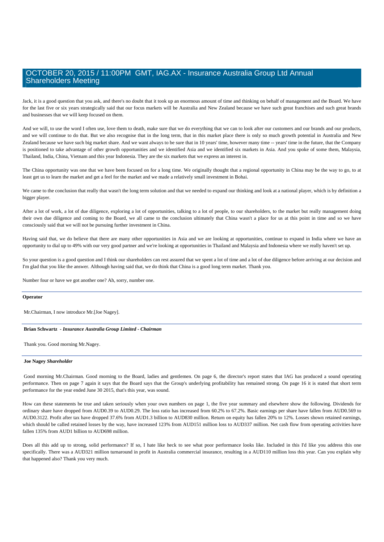Jack, it is a good question that you ask, and there's no doubt that it took up an enormous amount of time and thinking on behalf of management and the Board. We have for the last five or six years strategically said that our focus markets will be Australia and New Zealand because we have such great franchises and such great brands and businesses that we will keep focused on them.

And we will, to use the word I often use, love them to death, make sure that we do everything that we can to look after our customers and our brands and our products. and we will continue to do that. But we also recognise that in the long term, that in this market place there is only so much growth potential in Australia and New Zealand because we have such big market share. And we want always to be sure that in 10 years' time, however many time -- years' time in the future, that the Company is positioned to take advantage of other growth opportunities and we identified Asia and we identified six markets in Asia. And you spoke of some them, Malaysia, Thailand, India, China, Vietnam and this year Indonesia. They are the six markets that we express an interest in.

The China opportunity was one that we have been focused on for a long time. We originally thought that a regional opportunity in China may be the way to go, to at least get us to learn the market and get a feel for the market and we made a relatively small investment in Bohai.

We came to the conclusion that really that wasn't the long term solution and that we needed to expand our thinking and look at a national player, which is by definition a bigger player.

After a lot of work, a lot of due diligence, exploring a lot of opportunities, talking to a lot of people, to our shareholders, to the market but really management doing their own due diligence and coming to the Board, we all came to the conclusion ultimately that China wasn't a place for us at this point in time and so we have consciously said that we will not be pursuing further investment in China.

Having said that, we do believe that there are many other opportunities in Asia and we are looking at opportunities, continue to expand in India where we have an opportunity to dial up to 49% with our very good partner and we're looking at opportunities in Thailand and Malaysia and Indonesia where we really haven't set up.

So your question is a good question and I think our shareholders can rest assured that we spent a lot of time and a lot of due diligence before arriving at our decision and I'm glad that you like the answer. Although having said that, we do think that China is a good long term market. Thank you.

Number four or have we got another one? Ah, sorry, number one.

### **Operator**

Mr.Chairman, I now introduce Mr.[Joe Nagey].

### **Brian Schwartz** *- Insurance Australia Group Limited - Chairman*

Thank you. Good morning Mr.Nagey.

### **Joe Nagey** *Shareholder*

 Good morning Mr.Chairman. Good morning to the Board, ladies and gentlemen. On page 6, the director's report states that IAG has produced a sound operating performance. Then on page 7 again it says that the Board says that the Group's underlying profitability has remained strong. On page 16 it is stated that short term performance for the year ended June 30 2015, that's this year, was sound.

How can these statements be true and taken seriously when your own numbers on page 1, the five year summary and elsewhere show the following. Dividends for ordinary share have dropped from AUD0.39 to AUD0.29. The loss ratio has increased from 60.2% to 67.2%. Basic earnings per share have fallen from AUD0.569 to AUD0.3122. Profit after tax have dropped 37.6% from AUD1.3 billion to AUD830 million. Return on equity has fallen 20% to 12%. Losses shown retained earnings, which should be called retained losses by the way, have increased 123% from AUD151 million loss to AUD337 million. Net cash flow from operating activities have fallen 135% from AUD1 billion to AUD698 million.

Does all this add up to strong, solid performance? If so, I hate like heck to see what poor performance looks like. Included in this I'd like you address this one specifically. There was a AUD321 million turnaround in profit in Australia commercial insurance, resulting in a AUD110 million loss this year. Can you explain why that happened also? Thank you very much.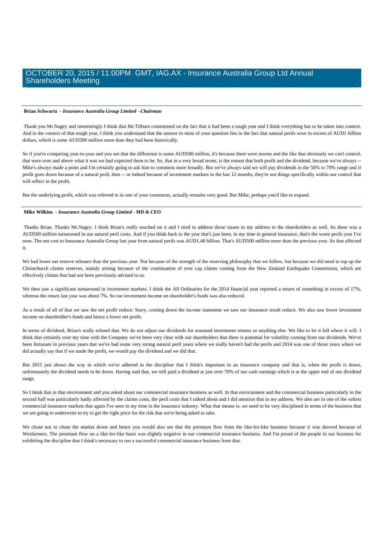#### **Brian Schwartz** *- Insurance Australia Group Limited - Chairman*

 Thank you Mr.Nagey and interestingly I think that Mr.Tilburn commented on the fact that it had been a tough year and I think everything has to be taken into context. And in the context of that tough year, I think you understand that the answer to most of your question lies in the fact that natural perils were in excess of AUD1 billion dollars, which is some AUD500 million more than they had been historically.

So if you're comparing year-to-year and you see that the difference is some AUD500 million, it's because there were storms and the like that obviously we can't control. that were over and above what it was we had expected them to be. So, that in a very broad terms, is the reason that both profit and the dividend, because we've always --Mike's always made a point and I'm certainly going to ask him to comment more broadly. But we've always said we will pay dividends in the 50% to 70% range and if profit goes down because of a natural peril, then -- or indeed because of investment markets in the last 12 months, they're not things specifically within our control that will reflect in the profit.

But the underlying profit, which was referred to in one of your comments, actually remains very good. But Mike, perhaps you'd like to expand.

### **Mike Wilkins** *- Insurance Australia Group Limited - MD & CEO*

 Thanks Brian. Thanks Mr.Nagey. I think Brian's really touched on it and I tried to address those issues in my address to the shareholders as well. So there was a AUD500 million turnaround in our natural peril costs. And if you think back to the year that's just been, in my time in general insurance, that's the worst perils year I've seen. The net cost to Insurance Australia Group last year from natural perils was AUD1.48 billion. That's AUD500 million more than the previous year. So that affected it.

We had lower net reserve releases than the previous year. Not because of the strength of the reserving philosophy that we follow, but because we did need to top up the Christchurch claims reserves, mainly arising because of the continuation of over cap claims coming from the New Zealand Earthquake Commission, which are effectively claims that had not been previously advised to us.

We then saw a significant turnaround in investment markets. I think the All Ordinaries for the 2014 financial year reported a return of something in excess of 17%, whereas the return last year was about 7%. So our investment income on shareholder's funds was also reduced.

As a result of all of that we saw the net profit reduce. Sorry, coming down the income statement we saw our insurance result reduce. We also saw lower investment income on shareholder's funds and hence a lower net profit.

In terms of dividend, Brian's really echoed that. We do not adjust our dividends for assumed investment returns or anything else. We like to let it fall where it will. I think that certainly over my time with the Company we've been very clear with our shareholders that there is potential for volatility coming from our dividends. We've been fortunate in previous years that we've had some very strong natural peril years where we really haven't had the perils and 2014 was one of those years where we did actually say that if we made the profit, we would pay the dividend and we did that.

But 2015 just shows the way in which we've adhered to the discipline that I think's important in an insurance company and that is, when the profit is down, unfortunately the dividend needs to be down. Having said that, we still paid a dividend at just over 70% of our cash earnings which is at the upper end of our dividend range.

So I think that in that environment and you asked about our commercial insurance business as well. In that environment and the commercial business particularly in the second half was particularly badly affected by the claims costs, the peril costs that I talked about and I did mention that in my address. We also are in one of the softest commercial insurance markets that again I've seen in my time in the insurance industry. What that means is, we need to be very disciplined in terms of the business that we are going to underwrite to try to get the right price for the risk that we're being asked to take.

We chose not to chase the market down and hence you would also see that the premium flow from the like-for-like business because it was skewed because of Wesfarmers. The premium flow on a like-for-like basis was slightly negative in our commercial insurance business. And I'm proud of the people in our business for exhibiting the discipline that I think's necessary to run a successful commercial insurance business from that.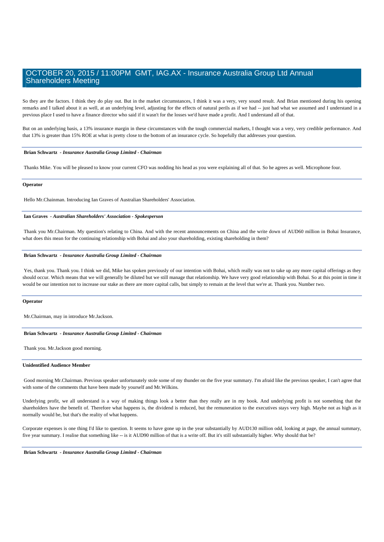So they are the factors. I think they do play out. But in the market circumstances, I think it was a very, very sound result. And Brian mentioned during his opening remarks and I talked about it as well, at an underlying level, adjusting for the effects of natural perils as if we had -- just had what we assumed and I understand in a previous place I used to have a finance director who said if it wasn't for the losses we'd have made a profit. And I understand all of that.

But on an underlying basis, a 13% insurance margin in these circumstances with the tough commercial markets, I thought was a very, very credible performance. And that 13% is greater than 15% ROE at what is pretty close to the bottom of an insurance cycle. So hopefully that addresses your question.

### **Brian Schwartz** *- Insurance Australia Group Limited - Chairman*

Thanks Mike. You will be pleased to know your current CFO was nodding his head as you were explaining all of that. So he agrees as well. Microphone four.

#### **Operator**

Hello Mr.Chainman. Introducing Ian Graves of Australian Shareholders' Association.

### **Ian Graves** *- Australian Shareholders' Association - Spokesperson*

 Thank you Mr.Chairman. My question's relating to China. And with the recent announcements on China and the write down of AUD60 million in Bohai Insurance, what does this mean for the continuing relationship with Bohai and also your shareholding, existing shareholding in them?

#### **Brian Schwartz** *- Insurance Australia Group Limited - Chairman*

Yes, thank you. Thank you. I think we did, Mike has spoken previously of our intention with Bohai, which really was not to take up any more capital offerings as they should occur. Which means that we will generally be diluted but we still manage that relationship. We have very good relationship with Bohai. So at this point in time it would be our intention not to increase our stake as there are more capital calls, but simply to remain at the level that we're at. Thank you. Number two.

#### **Operator**

Mr.Chairman, may in introduce Mr.Jackson.

### **Brian Schwartz** *- Insurance Australia Group Limited - Chairman*

Thank you. Mr.Jackson good morning.

### **Unidentified Audience Member**

 Good morning Mr.Chairman. Previous speaker unfortunately stole some of my thunder on the five year summary. I'm afraid like the previous speaker, I can't agree that with some of the comments that have been made by yourself and Mr.Wilkins.

Underlying profit, we all understand is a way of making things look a better than they really are in my book. And underlying profit is not something that the shareholders have the benefit of. Therefore what happens is, the dividend is reduced, but the remuneration to the executives stays very high. Maybe not as high as it normally would be, but that's the reality of what happens.

Corporate expenses is one thing I'd like to question. It seems to have gone up in the year substantially by AUD130 million odd, looking at page, the annual summary, five year summary. I realise that something like -- is it AUD90 million of that is a write off. But it's still substantially higher. Why should that be?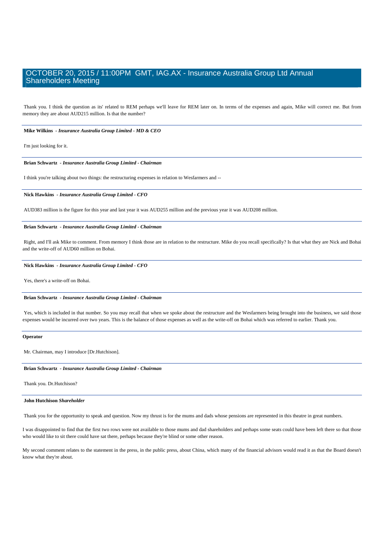Thank you. I think the question as its' related to REM perhaps we'll leave for REM later on. In terms of the expenses and again, Mike will correct me. But from memory they are about AUD215 million. Is that the number?

 **Mike Wilkins** *- Insurance Australia Group Limited - MD & CEO* 

I'm just looking for it.

 **Brian Schwartz** *- Insurance Australia Group Limited - Chairman* 

I think you're talking about two things: the restructuring expenses in relation to Wesfarmers and --

### **Nick Hawkins** *- Insurance Australia Group Limited - CFO*

AUD383 million is the figure for this year and last year it was AUD255 million and the previous year it was AUD208 million.

### **Brian Schwartz** *- Insurance Australia Group Limited - Chairman*

 Right, and I'll ask Mike to comment. From memory I think those are in relation to the restructure. Mike do you recall specifically? Is that what they are Nick and Bohai and the write-off of AUD60 million on Bohai.

#### **Nick Hawkins** *- Insurance Australia Group Limited - CFO*

Yes, there's a write-off on Bohai.

#### **Brian Schwartz** *- Insurance Australia Group Limited - Chairman*

Yes, which is included in that number. So you may recall that when we spoke about the restructure and the Wesfarmers being brought into the business, we said those expenses would be incurred over two years. This is the balance of those expenses as well as the write-off on Bohai which was referred to earlier. Thank you.

#### **Operator**

Mr. Chairman, may I introduce [Dr.Hutchison].

 **Brian Schwartz** *- Insurance Australia Group Limited - Chairman* 

Thank you. Dr.Hutchison?

### **John Hutchison** *Shareholder*

Thank you for the opportunity to speak and question. Now my thrust is for the mums and dads whose pensions are represented in this theatre in great numbers.

I was disappointed to find that the first two rows were not available to those mums and dad shareholders and perhaps some seats could have been left there so that those who would like to sit there could have sat there, perhaps because they're blind or some other reason.

My second comment relates to the statement in the press, in the public press, about China, which many of the financial advisors would read it as that the Board doesn't know what they're about.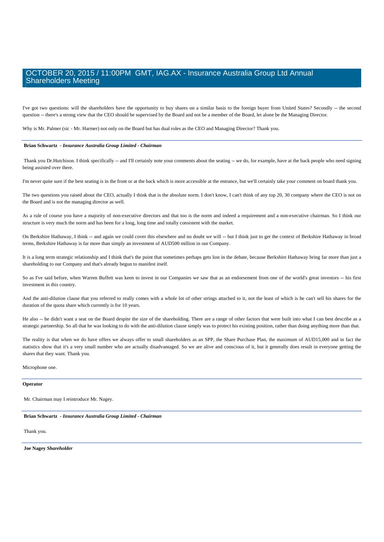I've got two questions: will the shareholders have the opportunity to buy shares on a similar basis to the foreign buyer from United States? Secondly -- the second question -- there's a strong view that the CEO should be supervised by the Board and not be a member of the Board, let alone be the Managing Director.

Why is Mr. Palmer (sic - Mr. Harmer) not only on the Board but has dual roles as the CEO and Managing Director? Thank you.

### **Brian Schwartz** *- Insurance Australia Group Limited - Chairman*

Thank you Dr.Hutchison. I think specifically -- and I'll certainly note your comments about the seating -- we do, for example, have at the back people who need signing being assisted over there.

I'm never quite sure if the best seating is in the front or at the back which is more accessible at the entrance, but we'll certainly take your comment on board thank you.

The two questions you raised about the CEO, actually I think that is the absolute norm. I don't know, I can't think of any top 20, 30 company where the CEO is not on the Board and is not the managing director as well.

As a rule of course you have a majority of non-executive directors and that too is the norm and indeed a requirement and a non-executive chairman. So I think our structure is very much the norm and has been for a long, long time and totally consistent with the market.

On Berkshire Hathaway, I think -- and again we could cover this elsewhere and no doubt we will -- but I think just to get the context of Berkshire Hathaway in broad terms, Berkshire Hathaway is far more than simply an investment of AUD500 million in our Company.

It is a long term strategic relationship and I think that's the point that sometimes perhaps gets lost in the debate, because Berkshire Hathaway bring far more than just a shareholding to our Company and that's already begun to manifest itself.

So as I've said before, when Warren Buffett was keen to invest in our Companies we saw that as an endorsement from one of the world's great investors -- his first investment in this country.

And the anti-dilution clause that you referred to really comes with a whole lot of other strings attached to it, not the least of which is he can't sell his shares for the duration of the quota share which currently is for 10 years.

He also -- he didn't want a seat on the Board despite the size of the shareholding. There are a range of other factors that were built into what I can best describe as a strategic partnership. So all that he was looking to do with the anti-dilution clause simply was to protect his existing position, rather than doing anything more than that.

The reality is that when we do have offers we always offer to small shareholders as an SPP, the Share Purchase Plan, the maximum of AUD15,000 and in fact the statistics show that it's a very small number who are actually disadvantaged. So we are alive and conscious of it, but it generally does result in everyone getting the shares that they want. Thank you.

Microphone one.

### **Operator**

Mr. Chairman may I reintroduce Mr. Nagey.

 **Brian Schwartz** *- Insurance Australia Group Limited - Chairman* 

Thank you.

 **Joe Nagey** *Shareholder*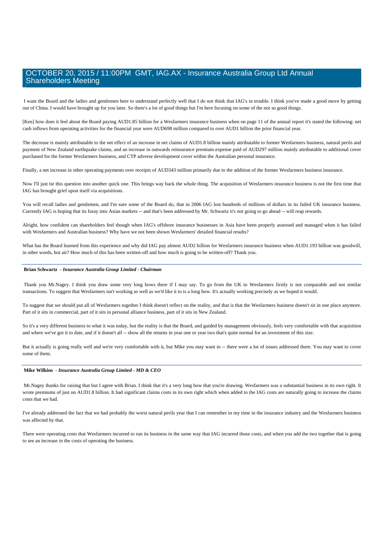I want the Board and the ladies and gentlemen here to understand perfectly well that I do not think that IAG's in trouble. I think you've made a good move by getting out of China. I would have brought up for you later. So there's a lot of good things but I'm here focusing on some of the not so good things.

[Ken] how does it feel about the Board paying AUD1.85 billion for a Wesfarmers insurance business when on page 11 of the annual report it's stated the following: net cash inflows from operating activities for the financial year were AUD698 million compared to over AUD1 billion the prior financial year.

The decrease is mainly attributable to the net effect of an increase in net claims of AUD1.8 billion mainly attributable to former Wesfarmers business, natural perils and payment of New Zealand earthquake claims, and an increase in outwards reinsurance premium expense paid of AUD297 million mainly attributable to additional cover purchased for the former Wesfarmers business, and CTP adverse development cover within the Australian personal insurance.

Finally, a net increase in other operating payments over receipts of AUD343 million primarily due to the addition of the former Wesfarmers business insurance.

Now I'll just tie this question into another quick one. This brings way back the whole thing. The acquisition of Wesfarmers insurance business is not the first time that IAG has brought grief upon itself via acquisitions.

You will recall ladies and gentlemen, and I'm sure some of the Board do, that in 2006 IAG lost hundreds of millions of dollars in its failed UK insurance business. Currently IAG is hoping that its foray into Asian markets -- and that's been addressed by Mr. Schwartz it's not going to go ahead -- will reap rewards.

Alright, how confident can shareholders feel though when IAG's offshore insurance businesses in Asia have been properly assessed and managed when it has failed with Wesfarmers and Australian business? Why have we not been shown Wesfarmers' detailed financial results?

What has the Board learned from this experience and why did IAG pay almost AUD2 billion for Wesfarmers insurance business when AUD1.193 billion was goodwill, in other words, hot air? How much of this has been written-off and how much is going to be written-off? Thank you.

### **Brian Schwartz** *- Insurance Australia Group Limited - Chairman*

 Thank you Mr.Nagey. I think you draw some very long bows there if I may say. To go from the UK to Wesfarmers firstly is not comparable and not similar transactions. To suggest that Wesfarmers isn't working as well as we'd like it to is a long bow. It's actually working precisely as we hoped it would.

To suggest that we should put all of Wesfarmers together I think doesn't reflect on the reality, and that is that the Wesfarmers business doesn't sit in one place anymore. Part of it sits in commercial, part of it sits in personal alliance business, part of it sits in New Zealand.

So it's a very different business to what it was today, but the reality is that the Board, and guided by management obviously, feels very comfortable with that acquisition and where we've got it to date, and if it doesn't all -- show all the returns in year one or year two that's quite normal for an investment of this size.

But it actually is going really well and we're very comfortable with it, but Mike you may want to -- there were a lot of issues addressed there. You may want to cover some of them.

### **Mike Wilkins** *- Insurance Australia Group Limited - MD & CEO*

Mr.Nagey thanks for raising that but I agree with Brian. I think that it's a very long bow that you're drawing. Wesfarmers was a substantial business in its own right. It wrote premiums of just on AUD1.8 billion. It had significant claims costs in its own right which when added to the IAG costs are naturally going to increase the claims costs that we had.

I've already addressed the fact that we had probably the worst natural perils year that I can remember in my time in the insurance industry and the Wesfarmers business was affected by that.

There were operating costs that Wesfarmers incurred to run its business in the same way that IAG incurred those costs, and when you add the two together that is going to see an increase in the costs of operating the business.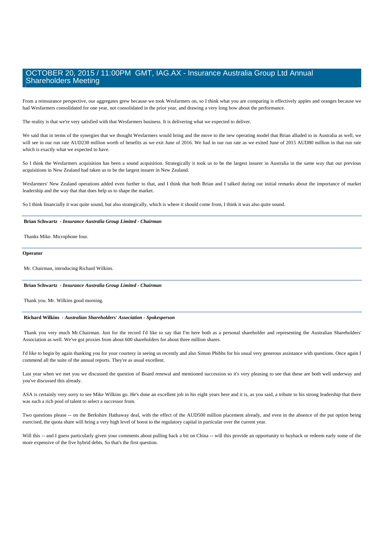From a reinsurance perspective, our aggregates grew because we took Wesfarmers on, so I think what you are comparing is effectively apples and oranges because we had Wesfarmers consolidated for one year, not consolidated in the prior year, and drawing a very long bow about the performance.

The reality is that we're very satisfied with that Wesfarmers business. It is delivering what we expected to deliver.

We said that in terms of the synergies that we thought Wesfarmers would bring and the move to the new operating model that Brian alluded to in Australia as well, we will see in our run rate AUD230 million worth of benefits as we exit June of 2016. We had in our run rate as we exited June of 2015 AUD80 million in that run rate which is exactly what we expected to have.

So I think the Wesfarmers acquisition has been a sound acquisition. Strategically it took us to be the largest insurer in Australia in the same way that our previous acquisitions in New Zealand had taken us to be the largest insurer in New Zealand.

Wesfarmers' New Zealand operations added even further to that, and I think that both Brian and I talked during our initial remarks about the importance of market leadership and the way that that does help us to shape the market.

So I think financially it was quite sound, but also strategically, which is where it should come from, I think it was also quite sound.

### **Brian Schwartz** *- Insurance Australia Group Limited - Chairman*

Thanks Mike. Microphone four.

### **Operator**

Mr. Chairman, introducing Richard Wilkins.

### **Brian Schwartz** *- Insurance Australia Group Limited - Chairman*

Thank you. Mr. Wilkins good morning.

#### **Richard Wilkins** *- Australian Shareholders' Association - Spokesperson*

 Thank you very much Mr.Chairman. Just for the record I'd like to say that I'm here both as a personal shareholder and representing the Australian Shareholders' Association as well. We've got proxies from about 600 shareholders for about three million shares.

I'd like to begin by again thanking you for your courtesy in seeing us recently and also Simon Phibbs for his usual very generous assistance with questions. Once again I commend all the suite of the annual reports. They're as usual excellent.

Last year when we met you we discussed the question of Board renewal and mentioned succession so it's very pleasing to see that these are both well underway and you've discussed this already.

ASA is certainly very sorry to see Mike Wilkins go. He's done an excellent job in his eight years here and it is, as you said, a tribute to his strong leadership that there was such a rich pool of talent to select a successor from.

Two questions please -- on the Berkshire Hathaway deal, with the effect of the AUD500 million placement already, and even in the absence of the put option being exercised, the quota share will bring a very high level of boost to the regulatory capital in particular over the current year.

Will this -- and I guess particularly given your comments about pulling back a bit on China -- will this provide an opportunity to buyback or redeem early some of the more expensive of the five hybrid debts. So that's the first question.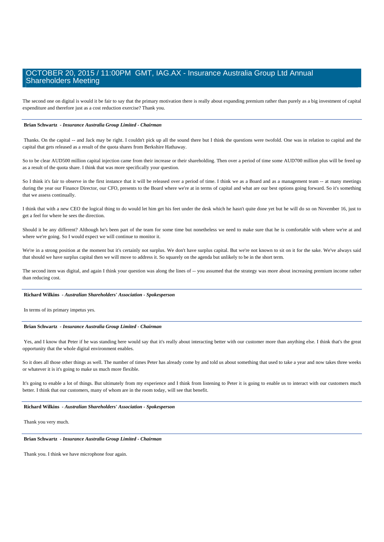The second one on digital is would it be fair to say that the primary motivation there is really about expanding premium rather than purely as a big investment of capital expenditure and therefore just as a cost reduction exercise? Thank you.

### **Brian Schwartz** *- Insurance Australia Group Limited - Chairman*

Thanks. On the capital -- and Jack may be right. I couldn't pick up all the sound there but I think the questions were twofold. One was in relation to capital and the capital that gets released as a result of the quota shares from Berkshire Hathaway.

So to be clear AUD500 million capital injection came from their increase or their shareholding. Then over a period of time some AUD700 million plus will be freed up as a result of the quota share. I think that was more specifically your question.

So I think it's fair to observe in the first instance that it will be released over a period of time. I think we as a Board and as a management team -- at many meetings during the year our Finance Director, our CFO, presents to the Board where we're at in terms of capital and what are our best options going forward. So it's something that we assess continually.

I think that with a new CEO the logical thing to do would let him get his feet under the desk which he hasn't quite done yet but he will do so on November 16, just to get a feel for where he sees the direction.

Should it be any different? Although he's been part of the team for some time but nonetheless we need to make sure that he is comfortable with where we're at and where we're going. So I would expect we will continue to monitor it.

We're in a strong position at the moment but it's certainly not surplus. We don't have surplus capital. But we're not known to sit on it for the sake. We've always said that should we have surplus capital then we will move to address it. So squarely on the agenda but unlikely to be in the short term.

The second item was digital, and again I think your question was along the lines of -- you assumed that the strategy was more about increasing premium income rather than reducing cost.

### **Richard Wilkins** *- Australian Shareholders' Association - Spokesperson*

In terms of its primary impetus yes.

### **Brian Schwartz** *- Insurance Australia Group Limited - Chairman*

Yes, and I know that Peter if he was standing here would say that it's really about interacting better with our customer more than anything else. I think that's the great opportunity that the whole digital environment enables.

So it does all those other things as well. The number of times Peter has already come by and told us about something that used to take a year and now takes three weeks or whatever it is it's going to make us much more flexible.

It's going to enable a lot of things. But ultimately from my experience and I think from listening to Peter it is going to enable us to interact with our customers much better. I think that our customers, many of whom are in the room today, will see that benefit.

### **Richard Wilkins** *- Australian Shareholders' Association - Spokesperson*

Thank you very much.

 **Brian Schwartz** *- Insurance Australia Group Limited - Chairman* 

Thank you. I think we have microphone four again.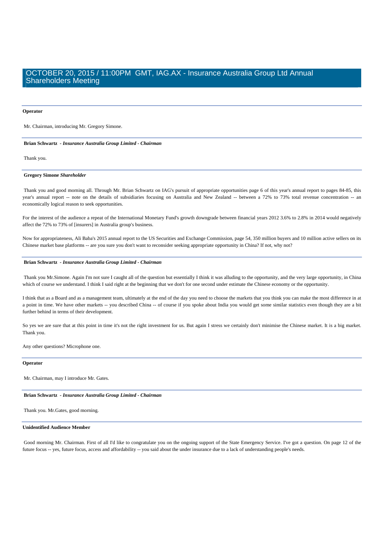#### **Operator**

Mr. Chairman, introducing Mr. Gregory Simone.

 **Brian Schwartz** *- Insurance Australia Group Limited - Chairman* 

Thank you.

### **Gregory Simone** *Shareholder*

 Thank you and good morning all. Through Mr. Brian Schwartz on IAG's pursuit of appropriate opportunities page 6 of this year's annual report to pages 84-85, this year's annual report -- note on the details of subsidiaries focusing on Australia and New Zealand -- between a 72% to 73% total revenue concentration -- an economically logical reason to seek opportunities.

For the interest of the audience a repeat of the International Monetary Fund's growth downgrade between financial years 2012 3.6% to 2.8% in 2014 would negatively affect the 72% to 73% of [insurers] in Australia group's business.

Now for appropriateness, Ali Baba's 2015 annual report to the US Securities and Exchange Commission, page 54, 350 million buyers and 10 million active sellers on its Chinese market base platforms -- are you sure you don't want to reconsider seeking appropriate opportunity in China? If not, why not?

### **Brian Schwartz** *- Insurance Australia Group Limited - Chairman*

 Thank you Mr.Simone. Again I'm not sure I caught all of the question but essentially I think it was alluding to the opportunity, and the very large opportunity, in China which of course we understand. I think I said right at the beginning that we don't for one second under estimate the Chinese economy or the opportunity.

I think that as a Board and as a management team, ultimately at the end of the day you need to choose the markets that you think you can make the most difference in at a point in time. We have other markets -- you described China -- of course if you spoke about India you would get some similar statistics even though they are a bit further behind in terms of their development.

So yes we are sure that at this point in time it's not the right investment for us. But again I stress we certainly don't minimise the Chinese market. It is a big market. Thank you.

Any other questions? Microphone one.

### **Operator**

Mr. Chairman, may I introduce Mr. Gates.

#### **Brian Schwartz** *- Insurance Australia Group Limited - Chairman*

Thank you. Mr.Gates, good morning.

### **Unidentified Audience Member**

 Good morning Mr. Chairman. First of all I'd like to congratulate you on the ongoing support of the State Emergency Service. I've got a question. On page 12 of the future focus -- yes, future focus, access and affordability -- you said about the under insurance due to a lack of understanding people's needs.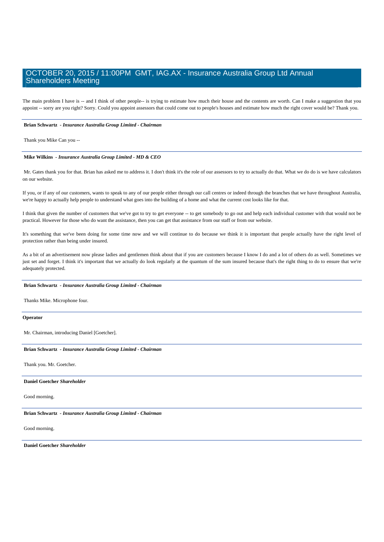The main problem I have is -- and I think of other people-- is trying to estimate how much their house and the contents are worth. Can I make a suggestion that you appoint -- sorry are you right? Sorry. Could you appoint assessors that could come out to people's houses and estimate how much the right cover would be? Thank you.

### **Brian Schwartz** *- Insurance Australia Group Limited - Chairman*

Thank you Mike Can you --

### **Mike Wilkins** *- Insurance Australia Group Limited - MD & CEO*

 Mr. Gates thank you for that. Brian has asked me to address it. I don't think it's the role of our assessors to try to actually do that. What we do do is we have calculators on our website.

If you, or if any of our customers, wants to speak to any of our people either through our call centres or indeed through the branches that we have throughout Australia, we're happy to actually help people to understand what goes into the building of a home and what the current cost looks like for that.

I think that given the number of customers that we've got to try to get everyone -- to get somebody to go out and help each individual customer with that would not be practical. However for those who do want the assistance, then you can get that assistance from our staff or from our website.

It's something that we've been doing for some time now and we will continue to do because we think it is important that people actually have the right level of protection rather than being under insured.

As a bit of an advertisement now please ladies and gentlemen think about that if you are customers because I know I do and a lot of others do as well. Sometimes we just set and forget. I think it's important that we actually do look regularly at the quantum of the sum insured because that's the right thing to do to ensure that we're adequately protected.

### **Brian Schwartz** *- Insurance Australia Group Limited - Chairman*

Thanks Mike. Microphone four.

### **Operator**

Mr. Chairman, introducing Daniel [Goetcher].

### **Brian Schwartz** *- Insurance Australia Group Limited - Chairman*

Thank you. Mr. Goetcher.

#### **Daniel Goetcher** *Shareholder*

Good morning.

 **Brian Schwartz** *- Insurance Australia Group Limited - Chairman* 

Good morning.

 **Daniel Goetcher** *Shareholder*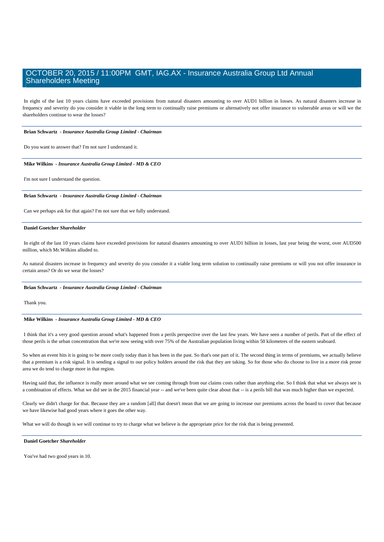In eight of the last 10 years claims have exceeded provisions from natural disasters amounting to over AUD1 billion in losses. As natural disasters increase in frequency and severity do you consider it viable in the long term to continually raise premiums or alternatively not offer insurance to vulnerable areas or will we the shareholders continue to wear the losses?

 **Brian Schwartz** *- Insurance Australia Group Limited - Chairman* 

Do you want to answer that? I'm not sure I understand it.

#### **Mike Wilkins** *- Insurance Australia Group Limited - MD & CEO*

I'm not sure I understand the question.

 **Brian Schwartz** *- Insurance Australia Group Limited - Chairman* 

Can we perhaps ask for that again? I'm not sure that we fully understand.

### **Daniel Goetcher** *Shareholder*

 In eight of the last 10 years claims have exceeded provisions for natural disasters amounting to over AUD1 billion in losses, last year being the worst, over AUD500 million, which Mr.Wilkins alluded to.

As natural disasters increase in frequency and severity do you consider it a viable long term solution to continually raise premiums or will you not offer insurance in certain areas? Or do we wear the losses?

### **Brian Schwartz** *- Insurance Australia Group Limited - Chairman*

Thank you.

### **Mike Wilkins** *- Insurance Australia Group Limited - MD & CEO*

 I think that it's a very good question around what's happened from a perils perspective over the last few years. We have seen a number of perils. Part of the effect of those perils is the urban concentration that we're now seeing with over 75% of the Australian population living within 50 kilometres of the eastern seaboard.

So when an event hits it is going to be more costly today than it has been in the past. So that's one part of it. The second thing in terms of premiums, we actually believe that a premium is a risk signal. It is sending a signal to our policy holders around the risk that they are taking. So for those who do choose to live in a more risk prone area we do tend to charge more in that region.

Having said that, the influence is really more around what we see coming through from our claims costs rather than anything else. So I think that what we always see is a combination of effects. What we did see in the 2015 financial year -- and we've been quite clear about that -- is a perils bill that was much higher than we expected.

Clearly we didn't charge for that. Because they are a random [all] that doesn't mean that we are going to increase our premiums across the board to cover that because we have likewise had good years where it goes the other way.

What we will do though is we will continue to try to charge what we believe is the appropriate price for the risk that is being presented.

### **Daniel Goetcher** *Shareholder*

You've had two good years in 10.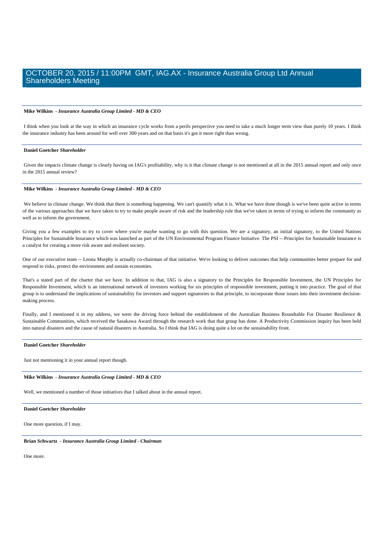### **Mike Wilkins** *- Insurance Australia Group Limited - MD & CEO*

 I think when you look at the way in which an insurance cycle works from a perils perspective you need to take a much longer term view than purely 10 years. I think the insurance industry has been around for well over 300 years and on that basis it's got it more right than wrong.

### **Daniel Goetcher** *Shareholder*

 Given the impacts climate change is clearly having on IAG's profitability, why is it that climate change is not mentioned at all in the 2015 annual report and only once in the 2015 annual review?

### **Mike Wilkins** *- Insurance Australia Group Limited - MD & CEO*

We believe in climate change. We think that there is something happening. We can't quantify what it is. What we have done though is we've been quite active in terms of the various approaches that we have taken to try to make people aware of risk and the leadership role that we've taken in terms of trying to inform the community as well as to inform the government.

Giving you a few examples to try to cover where you're maybe wanting to go with this question. We are a signatory, an initial signatory, to the United Nations Principles for Sustainable Insurance which was launched as part of the UN Environmental Program Finance Initiative. The PSI -- Principles for Sustainable Insurance is a catalyst for creating a more risk aware and resilient society.

One of our executive team -- Leona Murphy is actually co-chairman of that initiative. We're looking to deliver outcomes that help communities better prepare for and respond to risks, protect the environment and sustain economies.

That's a stated part of the charter that we have. In addition to that, IAG is also a signatory to the Principles for Responsible Investment, the UN Principles for Responsible Investment, which is an international network of investors working for six principles of responsible investment, putting it into practice. The goal of that group is to understand the implications of sustainability for investors and support signatories to that principle, to incorporate those issues into their investment decisionmaking process.

Finally, and I mentioned it in my address, we were the driving force behind the establishment of the Australian Business Roundtable For Disaster Resilience & Sustainable Communities, which received the Sasakawa Award through the research work that that group has done. A Productivity Commission inquiry has been held into natural disasters and the cause of natural disasters in Australia. So I think that IAG is doing quite a lot on the sustainability front.

### **Daniel Goetcher** *Shareholder*

Just not mentioning it in your annual report though.

### **Mike Wilkins** *- Insurance Australia Group Limited - MD & CEO*

Well, we mentioned a number of those initiatives that I talked about in the annual report.

### **Daniel Goetcher** *Shareholder*

One more question, if I may.

 **Brian Schwartz** *- Insurance Australia Group Limited - Chairman* 

One more.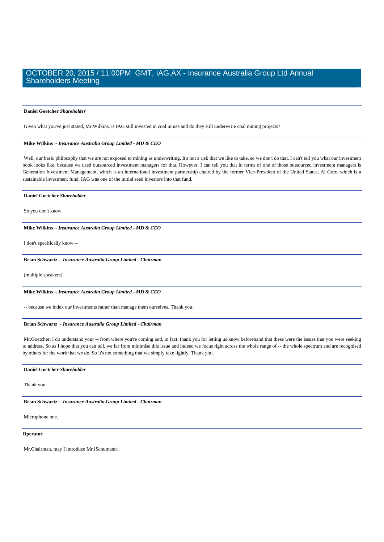#### **Daniel Goetcher** *Shareholder*

Given what you've just stated, Mr.Wilkins, is IAG still invested in coal mines and do they still underwrite coal mining projects?

### **Mike Wilkins** *- Insurance Australia Group Limited - MD & CEO*

 Well, our basic philosophy that we are not exposed to mining as underwriting. It's not a risk that we like to take, so we don't do that. I can't tell you what our investment book looks like, because we used outsourced investment managers for that. However, I can tell you that in terms of one of those outsourced investment managers is Generation Investment Management, which is an international investment partnership chaired by the former Vice-President of the United States, Al Gore, which is a sustainable investment fund. IAG was one of the initial seed investors into that fund.

### **Daniel Goetcher** *Shareholder*

So you don't know.

 **Mike Wilkins** *- Insurance Australia Group Limited - MD & CEO* 

I don't specifically know --

### **Brian Schwartz** *- Insurance Australia Group Limited - Chairman*

(multiple speakers)

 **Mike Wilkins** *- Insurance Australia Group Limited - MD & CEO* 

-- because we index our investments rather than manage them ourselves. Thank you.

### **Brian Schwartz** *- Insurance Australia Group Limited - Chairman*

Mr.Goetcher, I do understand your -- from where you're coming and, in fact, thank you for letting us know beforehand that these were the issues that you were seeking to address. So as I hope that you can tell, we far from minimise this issue and indeed we focus right across the whole range of -- the whole spectrum and are recognised by others for the work that we do. So it's not something that we simply take lightly. Thank you.

### **Daniel Goetcher** *Shareholder*

Thank you.

 **Brian Schwartz** *- Insurance Australia Group Limited - Chairman* 

Microphone one.

### **Operator**

Mr.Chairman, may I introduce Mr.[Schumann].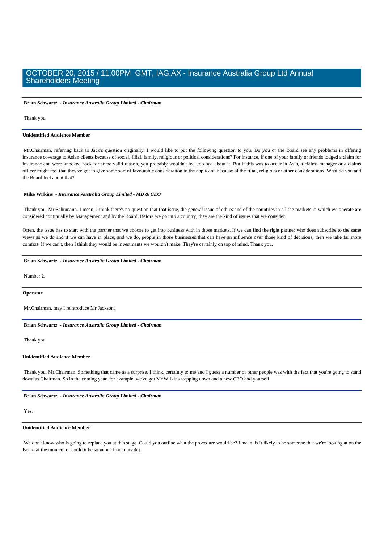**Brian Schwartz** *- Insurance Australia Group Limited - Chairman* 

Thank you.

#### **Unidentified Audience Member**

 Mr.Chairman, referring back to Jack's question originally, I would like to put the following question to you. Do you or the Board see any problems in offering insurance coverage to Asian clients because of social, filial, family, religious or political considerations? For instance, if one of your family or friends lodged a claim for insurance and were knocked back for some valid reason, you probably wouldn't feel too bad about it. But if this was to occur in Asia, a claims manager or a claims officer might feel that they've got to give some sort of favourable consideration to the applicant, because of the filial, religious or other considerations. What do you and the Board feel about that?

### **Mike Wilkins** *- Insurance Australia Group Limited - MD & CEO*

 Thank you, Mr.Schumann. I mean, I think there's no question that that issue, the general issue of ethics and of the countries in all the markets in which we operate are considered continually by Management and by the Board. Before we go into a country, they are the kind of issues that we consider.

Often, the issue has to start with the partner that we choose to get into business with in those markets. If we can find the right partner who does subscribe to the same views as we do and if we can have in place, and we do, people in those businesses that can have an influence over those kind of decisions, then we take far more comfort. If we can't, then I think they would be investments we wouldn't make. They're certainly on top of mind. Thank you.

### **Brian Schwartz** *- Insurance Australia Group Limited - Chairman*

Number 2.

**Operator**

Mr.Chairman, may I reintroduce Mr.Jackson.

 **Brian Schwartz** *- Insurance Australia Group Limited - Chairman* 

Thank you.

#### **Unidentified Audience Member**

Thank you, Mr.Chairman. Something that came as a surprise, I think, certainly to me and I guess a number of other people was with the fact that you're going to stand down as Chairman. So in the coming year, for example, we've got Mr.Wilkins stepping down and a new CEO and yourself.

### **Brian Schwartz** *- Insurance Australia Group Limited - Chairman*

### Yes.

### **Unidentified Audience Member**

We don't know who is going to replace you at this stage. Could you outline what the procedure would be? I mean, is it likely to be someone that we're looking at on the Board at the moment or could it be someone from outside?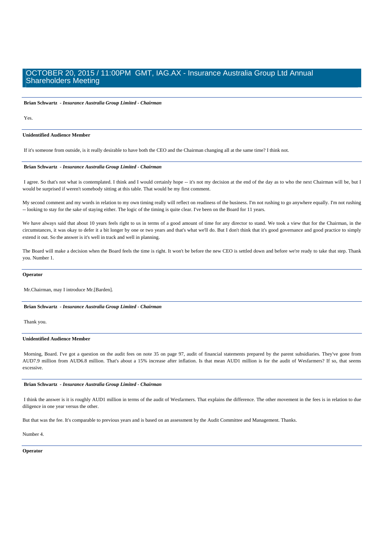**Brian Schwartz** *- Insurance Australia Group Limited - Chairman* 

Yes.

### **Unidentified Audience Member**

If it's someone from outside, is it really desirable to have both the CEO and the Chairman changing all at the same time? I think not.

### **Brian Schwartz** *- Insurance Australia Group Limited - Chairman*

 I agree. So that's not what is contemplated. I think and I would certainly hope -- it's not my decision at the end of the day as to who the next Chairman will be, but I would be surprised if weren't somebody sitting at this table. That would be my first comment.

My second comment and my words in relation to my own timing really will reflect on readiness of the business. I'm not rushing to go anywhere equally. I'm not rushing -- looking to stay for the sake of staying either. The logic of the timing is quite clear. I've been on the Board for 11 years.

We have always said that about 10 years feels right to us in terms of a good amount of time for any director to stand. We took a view that for the Chairman, in the circumstances, it was okay to defer it a bit longer by one or two years and that's what we'll do. But I don't think that it's good governance and good practice to simply extend it out. So the answer is it's well in track and well in planning.

The Board will make a decision when the Board feels the time is right. It won't be before the new CEO is settled down and before we're ready to take that step. Thank you. Number 1.

#### **Operator**

Mr.Chairman, may I introduce Mr.[Barden].

 **Brian Schwartz** *- Insurance Australia Group Limited - Chairman* 

Thank you.

### **Unidentified Audience Member**

 Morning, Board. I've got a question on the audit fees on note 35 on page 97, audit of financial statements prepared by the parent subsidiaries. They've gone from AUD7.9 million from AUD6.8 million. That's about a 15% increase after inflation. Is that mean AUD1 million is for the audit of Wesfarmers? If so, that seems excessive.

### **Brian Schwartz** *- Insurance Australia Group Limited - Chairman*

 I think the answer is it is roughly AUD1 million in terms of the audit of Wesfarmers. That explains the difference. The other movement in the fees is in relation to due diligence in one year versus the other.

But that was the fee. It's comparable to previous years and is based on an assessment by the Audit Committee and Management. Thanks.

### Number 4.

### **Operator**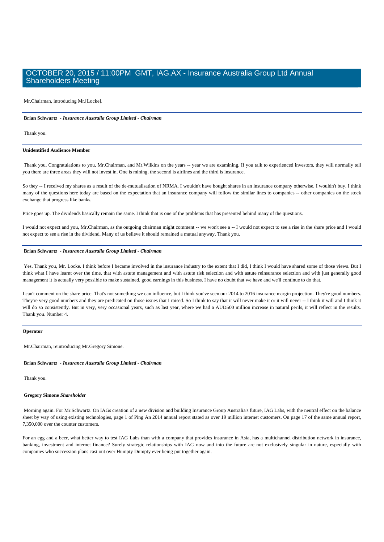Mr.Chairman, introducing Mr.[Locke].

### **Brian Schwartz** *- Insurance Australia Group Limited - Chairman*

Thank you.

### **Unidentified Audience Member**

 Thank you. Congratulations to you, Mr.Chairman, and Mr.Wilkins on the years -- year we are examining. If you talk to experienced investors, they will normally tell you there are three areas they will not invest in. One is mining, the second is airlines and the third is insurance.

So they -- I received my shares as a result of the de-mutualisation of NRMA. I wouldn't have bought shares in an insurance company otherwise. I wouldn't buy. I think many of the questions here today are based on the expectation that an insurance company will follow the similar lines to companies -- other companies on the stock exchange that progress like banks.

Price goes up. The dividends basically remain the same. I think that is one of the problems that has presented behind many of the questions.

I would not expect and you, Mr.Chairman, as the outgoing chairman might comment -- we won't see a -- I would not expect to see a rise in the share price and I would not expect to see a rise in the dividend. Many of us believe it should remained a mutual anyway. Thank you.

### **Brian Schwartz** *- Insurance Australia Group Limited - Chairman*

 Yes. Thank you, Mr. Locke. I think before I became involved in the insurance industry to the extent that I did, I think I would have shared some of those views. But I think what I have learnt over the time, that with astute management and with astute risk selection and with astute reinsurance selection and with just generally good management it is actually very possible to make sustained, good earnings in this business. I have no doubt that we have and we'll continue to do that.

I can't comment on the share price. That's not something we can influence, but I think you've seen our 2014 to 2016 insurance margin projection. They're good numbers. They're very good numbers and they are predicated on those issues that I raised. So I think to say that it will never make it or it will never -- I think it will and I think it will do so consistently. But in very, very occasional years, such as last year, where we had a AUD500 million increase in natural perils, it will reflect in the results. Thank you. Number 4.

#### **Operator**

Mr.Chairman, reintroducing Mr.Gregory Simone.

### **Brian Schwartz** *- Insurance Australia Group Limited - Chairman*

Thank you.

### **Gregory Simone** *Shareholder*

 Morning again. For Mr.Schwartz. On IAGs creation of a new division and building Insurance Group Australia's future, IAG Labs, with the neutral effect on the balance sheet by way of using existing technologies, page 1 of Ping An 2014 annual report stated as over 19 million internet customers. On page 17 of the same annual report, 7,350,000 over the counter customers.

For an egg and a beer, what better way to test IAG Labs than with a company that provides insurance in Asia, has a multichannel distribution network in insurance, banking, investment and internet finance? Surely strategic relationships with IAG now and into the future are not exclusively singular in nature, especially with companies who succession plans cast out over Humpty Dumpty ever being put together again.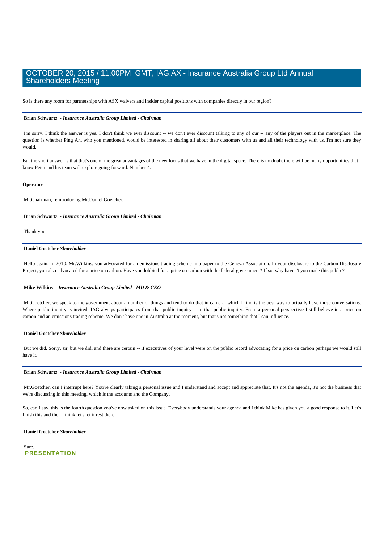So is there any room for partnerships with ASX waivers and insider capital positions with companies directly in our region?

### **Brian Schwartz** *- Insurance Australia Group Limited - Chairman*

I'm sorry. I think the answer is yes. I don't think we ever discount -- we don't ever discount talking to any of our -- any of the players out in the marketplace. The question is whether Ping An, who you mentioned, would be interested in sharing all about their customers with us and all their technology with us. I'm not sure they would.

But the short answer is that that's one of the great advantages of the new focus that we have in the digital space. There is no doubt there will be many opportunities that I know Peter and his team will explore going forward. Number 4.

#### **Operator**

Mr.Chairman, reintroducing Mr.Daniel Goetcher.

 **Brian Schwartz** *- Insurance Australia Group Limited - Chairman* 

Thank you.

### **Daniel Goetcher** *Shareholder*

Hello again. In 2010, Mr.Wilkins, you advocated for an emissions trading scheme in a paper to the Geneva Association. In your disclosure to the Carbon Disclosure Project, you also advocated for a price on carbon. Have you lobbied for a price on carbon with the federal government? If so, why haven't you made this public?

### **Mike Wilkins** *- Insurance Australia Group Limited - MD & CEO*

 Mr.Goetcher, we speak to the government about a number of things and tend to do that in camera, which I find is the best way to actually have those conversations. Where public inquiry is invited, IAG always participates from that public inquiry -- in that public inquiry. From a personal perspective I still believe in a price on carbon and an emissions trading scheme. We don't have one in Australia at the moment, but that's not something that I can influence.

### **Daniel Goetcher** *Shareholder*

 But we did. Sorry, sir, but we did, and there are certain -- if executives of your level were on the public record advocating for a price on carbon perhaps we would still have it.

### **Brian Schwartz** *- Insurance Australia Group Limited - Chairman*

 Mr.Goetcher, can I interrupt here? You're clearly taking a personal issue and I understand and accept and appreciate that. It's not the agenda, it's not the business that we're discussing in this meeting, which is the accounts and the Company.

So, can I say, this is the fourth question you've now asked on this issue. Everybody understands your agenda and I think Mike has given you a good response to it. Let's finish this and then I think let's let it rest there.

### **Daniel Goetcher** *Shareholder*

 Sure. **PRESENTATION**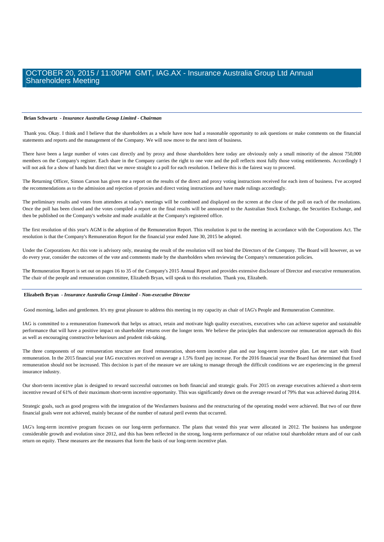### **Brian Schwartz** *- Insurance Australia Group Limited - Chairman*

 Thank you. Okay. I think and I believe that the shareholders as a whole have now had a reasonable opportunity to ask questions or make comments on the financial statements and reports and the management of the Company. We will now move to the next item of business.

There have been a large number of votes cast directly and by proxy and those shareholders here today are obviously only a small minority of the almost 750,000 members on the Company's register. Each share in the Company carries the right to one vote and the poll reflects most fully those voting entitlements. Accordingly I will not ask for a show of hands but direct that we move straight to a poll for each resolution. I believe this is the fairest way to proceed.

The Returning Officer, Simon Carson has given me a report on the results of the direct and proxy voting instructions received for each item of business. I've accepted the recommendations as to the admission and rejection of proxies and direct voting instructions and have made rulings accordingly.

The preliminary results and votes from attendees at today's meetings will be combined and displayed on the screen at the close of the poll on each of the resolutions. Once the poll has been closed and the votes compiled a report on the final results will be announced to the Australian Stock Exchange, the Securities Exchange, and then be published on the Company's website and made available at the Company's registered office.

The first resolution of this year's AGM is the adoption of the Remuneration Report. This resolution is put to the meeting in accordance with the Corporations Act. The resolution is that the Company's Remuneration Report for the financial year ended June 30, 2015 be adopted.

Under the Corporations Act this vote is advisory only, meaning the result of the resolution will not bind the Directors of the Company. The Board will however, as we do every year, consider the outcomes of the vote and comments made by the shareholders when reviewing the Company's remuneration policies.

The Remuneration Report is set out on pages 16 to 35 of the Company's 2015 Annual Report and provides extensive disclosure of Director and executive remuneration. The chair of the people and remuneration committee, Elizabeth Bryan, will speak to this resolution. Thank you, Elizabeth.

### **Elizabeth Bryan** *- Insurance Australia Group Limited - Non-executive Director*

Good morning, ladies and gentlemen. It's my great pleasure to address this meeting in my capacity as chair of IAG's People and Remuneration Committee.

IAG is committed to a remuneration framework that helps us attract, retain and motivate high quality executives, executives who can achieve superior and sustainable performance that will have a positive impact on shareholder returns over the longer term. We believe the principles that underscore our remuneration approach do this as well as encouraging constructive behaviours and prudent risk-taking.

The three components of our remuneration structure are fixed remuneration, short-term incentive plan and our long-term incentive plan. Let me start with fixed remuneration. In the 2015 financial year IAG executives received on average a 1.5% fixed pay increase. For the 2016 financial year the Board has determined that fixed remuneration should not be increased. This decision is part of the measure we are taking to manage through the difficult conditions we are experiencing in the general insurance industry.

Our short-term incentive plan is designed to reward successful outcomes on both financial and strategic goals. For 2015 on average executives achieved a short-term incentive reward of 61% of their maximum short-term incentive opportunity. This was significantly down on the average reward of 79% that was achieved during 2014.

Strategic goals, such as good progress with the integration of the Wesfarmers business and the restructuring of the operating model were achieved. But two of our three financial goals were not achieved, mainly because of the number of natural peril events that occurred.

IAG's long-term incentive program focuses on our long-term performance. The plans that vested this year were allocated in 2012. The business has undergone considerable growth and evolution since 2012, and this has been reflected in the strong, long-term performance of our relative total shareholder return and of our cash return on equity. These measures are the measures that form the basis of our long-term incentive plan.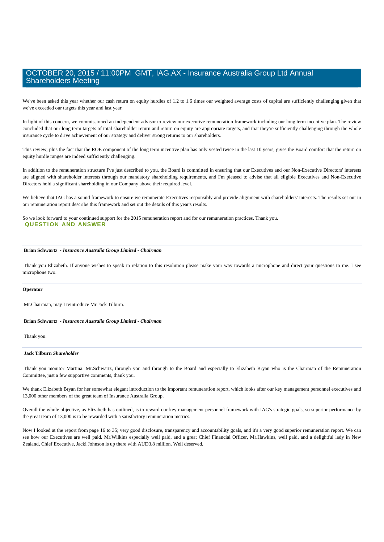We've been asked this year whether our cash return on equity hurdles of 1.2 to 1.6 times our weighted average costs of capital are sufficiently challenging given that we've exceeded our targets this year and last year.

In light of this concern, we commissioned an independent advisor to review our executive remuneration framework including our long term incentive plan. The review concluded that our long term targets of total shareholder return and return on equity are appropriate targets, and that they're sufficiently challenging through the whole insurance cycle to drive achievement of our strategy and deliver strong returns to our shareholders.

This review, plus the fact that the ROE component of the long term incentive plan has only vested twice in the last 10 years, gives the Board comfort that the return on equity hurdle ranges are indeed sufficiently challenging.

In addition to the remuneration structure I've just described to you, the Board is committed in ensuring that our Executives and our Non-Executive Directors' interests are aligned with shareholder interests through our mandatory shareholding requirements, and I'm pleased to advise that all eligible Executives and Non-Executive Directors hold a significant shareholding in our Company above their required level.

We believe that IAG has a sound framework to ensure we remunerate Executives responsibly and provide alignment with shareholders' interests. The results set out in our remuneration report describe this framework and set out the details of this year's results.

So we look forward to your continued support for the 2015 remuneration report and for our remuneration practices. Thank you. **QUESTION AND ANSWER** 

### **Brian Schwartz** *- Insurance Australia Group Limited - Chairman*

 Thank you Elizabeth. If anyone wishes to speak in relation to this resolution please make your way towards a microphone and direct your questions to me. I see microphone two.

### **Operator**

Mr.Chairman, may I reintroduce Mr.Jack Tilburn.

### **Brian Schwartz** *- Insurance Australia Group Limited - Chairman*

Thank you.

### **Jack Tilburn** *Shareholder*

 Thank you monitor Martina. Mr.Schwartz, through you and through to the Board and especially to Elizabeth Bryan who is the Chairman of the Remuneration Committee, just a few supportive comments, thank you.

We thank Elizabeth Bryan for her somewhat elegant introduction to the important remuneration report, which looks after our key management personnel executives and 13,000 other members of the great team of Insurance Australia Group.

Overall the whole objective, as Elizabeth has outlined, is to reward our key management personnel framework with IAG's strategic goals, so superior performance by the great team of 13,000 is to be rewarded with a satisfactory remuneration metrics.

Now I looked at the report from page 16 to 35; very good disclosure, transparency and accountability goals, and it's a very good superior remuneration report. We can see how our Executives are well paid. Mr.Wilkins especially well paid, and a great Chief Financial Officer, Mr.Hawkins, well paid, and a delightful lady in New Zealand, Chief Executive, Jacki Johnson is up there with AUD3.8 million. Well deserved.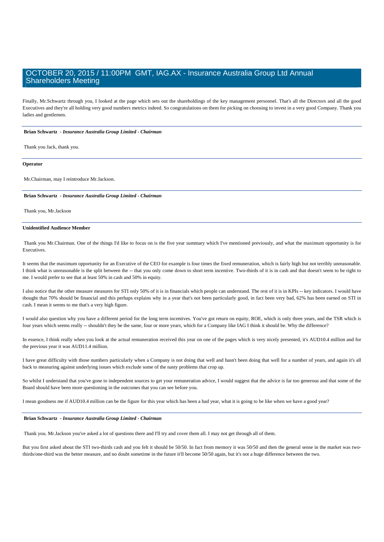Finally, Mr.Schwartz through you, I looked at the page which sets out the shareholdings of the key management personnel. That's all the Directors and all the good Executives and they're all holding very good numbers metrics indeed. So congratulations on them for picking on choosing to invest in a very good Company. Thank you ladies and gentlemen.

### **Brian Schwartz** *- Insurance Australia Group Limited - Chairman*

Thank you Jack, thank you.

#### **Operator**

Mr.Chairman, may I reintroduce Mr.Jackson.

### **Brian Schwartz** *- Insurance Australia Group Limited - Chairman*

Thank you, Mr.Jackson

### **Unidentified Audience Member**

 Thank you Mr.Chairman. One of the things I'd like to focus on is the five year summary which I've mentioned previously, and what the maximum opportunity is for Executives.

It seems that the maximum opportunity for an Executive of the CEO for example is four times the fixed remuneration, which is fairly high but not terribly unreasonable. I think what is unreasonable is the split between the -- that you only come down to short term incentive. Two-thirds of it is in cash and that doesn't seem to be right to me. I would prefer to see that at least 50% in cash and 50% in equity.

I also notice that the other measure measures for STI only 50% of it is in financials which people can understand. The rest of it is in KPIs -- key indicators. I would have thought that 70% should be financial and this perhaps explains why in a year that's not been particularly good, in fact been very bad, 62% has been earned on STI in cash. I mean it seems to me that's a very high figure.

I would also question why you have a different period for the long term incentives. You've got return on equity, ROE, which is only three years, and the TSR which is four years which seems really -- shouldn't they be the same, four or more years, which for a Company like IAG I think it should be. Why the difference?

In essence, I think really when you look at the actual remuneration received this year on one of the pages which is very nicely presented, it's AUD10.4 million and for the previous year it was AUD11.4 million.

I have great difficulty with those numbers particularly when a Company is not doing that well and hasn't been doing that well for a number of years, and again it's all back to measuring against underlying issues which exclude some of the nasty problems that crop up.

So whilst I understand that you've gone to independent sources to get your remuneration advice, I would suggest that the advice is far too generous and that some of the Board should have been more questioning in the outcomes that you can see before you.

I mean goodness me if AUD10.4 million can be the figure for this year which has been a bad year, what it is going to be like when we have a good year?

### **Brian Schwartz** *- Insurance Australia Group Limited - Chairman*

Thank you. Mr.Jackson you've asked a lot of questions there and I'll try and cover them all. I may not get through all of them.

But you first asked about the STI two-thirds cash and you felt it should be 50/50. In fact from memory it was 50/50 and then the general sense in the market was twothirds/one-third was the better measure, and no doubt sometime in the future it'll become 50/50 again, but it's not a huge difference between the two.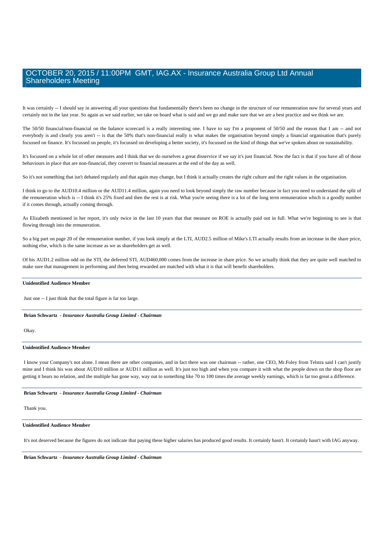It was certainly -- I should say in answering all your questions that fundamentally there's been no change in the structure of our remuneration now for several years and certainly not in the last year. So again as we said earlier, we take on board what is said and we go and make sure that we are a best practice and we think we are.

The 50/50 financial/non-financial on the balance scorecard is a really interesting one. I have to say I'm a proponent of 50/50 and the reason that I am -- and not everybody is and clearly you aren't -- is that the 50% that's non-financial really is what makes the organisation beyond simply a financial organisation that's purely focussed on finance. It's focussed on people, it's focussed on developing a better society, it's focussed on the kind of things that we've spoken about on sustainability.

It's focussed on a whole lot of other measures and I think that we do ourselves a great disservice if we say it's just financial. Now the fact is that if you have all of those behaviours in place that are non-financial, they convert to financial measures at the end of the day as well.

So it's not something that isn't debated regularly and that again may change, but I think it actually creates the right culture and the right values in the organisation.

I think to go to the AUD10.4 million or the AUD11.4 million, again you need to look beyond simply the raw number because in fact you need to understand the split of the remuneration which is -- I think it's 25% fixed and then the rest is at risk. What you're seeing there is a lot of the long term remuneration which is a goodly number if it comes through, actually coming through.

As Elizabeth mentioned in her report, it's only twice in the last 10 years that that measure on ROE is actually paid out in full. What we're beginning to see is that flowing through into the remuneration.

So a big part on page 20 of the remuneration number, if you look simply at the LTI, AUD2.5 million of Mike's LTI actually results from an increase in the share price, nothing else, which is the same increase as we as shareholders get as well.

Of his AUD1.2 million odd on the STI, the deferred STI, AUD460,000 comes from the increase in share price. So we actually think that they are quite well matched to make sure that management in performing and then being rewarded are matched with what it is that will benefit shareholders.

### **Unidentified Audience Member**

Just one -- I just think that the total figure is far too large.

#### **Brian Schwartz** *- Insurance Australia Group Limited - Chairman*

Okay.

### **Unidentified Audience Member**

 I know your Company's not alone. I mean there are other companies, and in fact there was one chairman -- rather, one CEO, Mr.Foley from Telstra said I can't justify mine and I think his was about AUD10 million or AUD11 million as well. It's just too high and when you compare it with what the people down on the shop floor are getting it bears no relation, and the multiple has gone way, way out to something like 70 to 100 times the average weekly earnings, which is far too great a difference.

### **Brian Schwartz** *- Insurance Australia Group Limited - Chairman*

Thank you.

### **Unidentified Audience Member**

It's not deserved because the figures do not indicate that paying these higher salaries has produced good results. It certainly hasn't. It certainly hasn't with IAG anyway.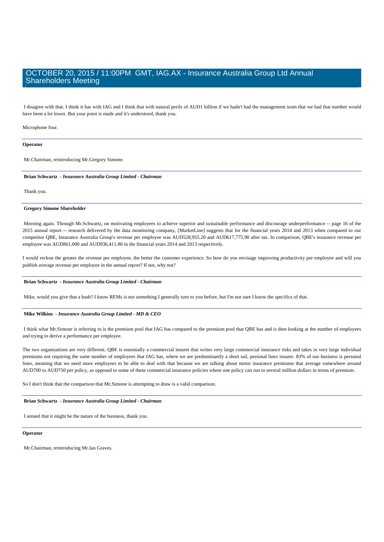I disagree with that. I think it has with IAG and I think that with natural perils of AUD1 billion if we hadn't had the management team that we had that number would have been a lot lower. But your point is made and it's understood, thank you.

### Microphone four.

### **Operator**

Mr.Chairman, reintroducing Mr.Gregory Simone.

#### **Brian Schwartz** *- Insurance Australia Group Limited - Chairman*

Thank you.

### **Gregory Simone** *Shareholder*

 Morning again. Through Mr.Schwartz, on motivating employees to achieve superior and sustainable performance and discourage underperformance -- page 16 of the 2015 annual report -- research delivered by the data monitoring company, [MarketLine] suggests that for the financial years 2014 and 2013 when compared to our competitor QBE, Insurance Australia Group's revenue per employee was AUD528,955.20 and AUD617,775.90 after tax. In comparison, QBE's insurance revenue per employee was AUD861,000 and AUD936,411.80 in the financial years 2014 and 2013 respectively.

I would reckon the greater the revenue per employee, the better the customer experience. So how do you envisage improving productivity per employee and will you publish average revenue per employee in the annual report? If not, why not?

### **Brian Schwartz** *- Insurance Australia Group Limited - Chairman*

Mike, would you give that a bash? I know REMs is not something I generally turn to you before, but I'm not sure I know the specifics of that.

### **Mike Wilkins** *- Insurance Australia Group Limited - MD & CEO*

 I think what Mr.Simone is referring to is the premium pool that IAG has compared to the premium pool that QBE has and is then looking at the number of employees and trying to derive a performance per employee.

The two organisations are very different. QBE is essentially a commercial insurer that writes very large commercial insurance risks and takes in very large individual premiums not requiring the same number of employees that IAG has, where we are predominantly a short tail, personal lines insurer. 83% of our business is personal lines, meaning that we need more employees to be able to deal with that because we are talking about motor insurance premiums that average somewhere around AUD700 to AUD750 per policy, as opposed to some of these commercial insurance policies where one policy can run to several million dollars in terms of premium.

So I don't think that the comparison that Mr.Simone is attempting to draw is a valid comparison.

### **Brian Schwartz** *- Insurance Australia Group Limited - Chairman*

I sensed that it might be the nature of the business, thank you.

### **Operator**

Mr.Chairman, reintroducing Mr.Ian Graves.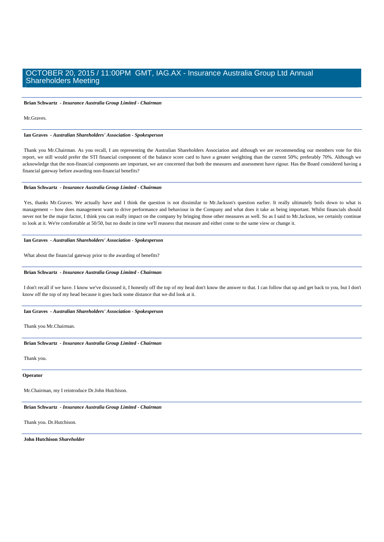**Brian Schwartz** *- Insurance Australia Group Limited - Chairman* 

Mr.Graves.

 **Ian Graves** *- Australian Shareholders' Association - Spokesperson* 

 Thank you Mr.Chairman. As you recall, I am representing the Australian Shareholders Association and although we are recommending our members vote for this report, we still would prefer the STI financial component of the balance score card to have a greater weighting than the current 50%; preferably 70%. Although we acknowledge that the non-financial components are important, we are concerned that both the measures and assessment have rigour. Has the Board considered having a financial gateway before awarding non-financial benefits?

### **Brian Schwartz** *- Insurance Australia Group Limited - Chairman*

 Yes, thanks Mr.Graves. We actually have and I think the question is not dissimilar to Mr.Jackson's question earlier. It really ultimately boils down to what is management -- how does management want to drive performance and behaviour in the Company and what does it take as being important. Whilst financials should never not be the major factor, I think you can really impact on the company by bringing those other measures as well. So as I said to Mr.Jackson, we certainly continue to look at it. We're comfortable at 50/50, but no doubt in time we'll reassess that measure and either come to the same view or change it.

### **Ian Graves** *- Australian Shareholders' Association - Spokesperson*

What about the financial gateway prior to the awarding of benefits?

### **Brian Schwartz** *- Insurance Australia Group Limited - Chairman*

 I don't recall if we have. I know we've discussed it, I honestly off the top of my head don't know the answer to that. I can follow that up and get back to you, but I don't know off the top of my head because it goes back some distance that we did look at it.

### **Ian Graves** *- Australian Shareholders' Association - Spokesperson*

Thank you Mr.Chairman.

### **Brian Schwartz** *- Insurance Australia Group Limited - Chairman*

Thank you.

**Operator**

Mr.Chairman, my I reintroduce Dr.John Hutchison.

### **Brian Schwartz** *- Insurance Australia Group Limited - Chairman*

Thank you. Dr.Hutchison.

 **John Hutchison** *Shareholder*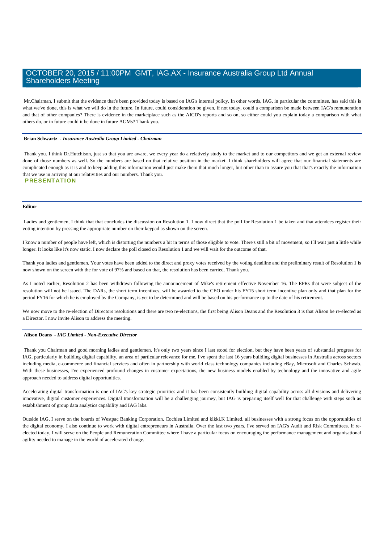Mr.Chairman, I submit that the evidence that's been provided today is based on IAG's internal policy. In other words, IAG, in particular the committee, has said this is what we've done, this is what we will do in the future. In future, could consideration be given, if not today, could a comparison be made between IAG's remuneration and that of other companies? There is evidence in the marketplace such as the AICD's reports and so on, so either could you explain today a comparison with what others do, or in future could it be done in future AGMs? Thank you.

### **Brian Schwartz** *- Insurance Australia Group Limited - Chairman*

Thank you. I think Dr.Hutchison, just so that you are aware, we every year do a relatively study to the market and to our competitors and we get an external review done of those numbers as well. So the numbers are based on that relative position in the market. I think shareholders will agree that our financial statements are complicated enough as it is and to keep adding this information would just make them that much longer, but other than to assure you that that's exactly the information that we use in arriving at our relativities and our numbers. Thank you. **PRESENTATION** 

### **Editor**

 Ladies and gentlemen, I think that that concludes the discussion on Resolution 1. I now direct that the poll for Resolution 1 be taken and that attendees register their voting intention by pressing the appropriate number on their keypad as shown on the screen.

I know a number of people have left, which is distorting the numbers a bit in terms of those eligible to vote. There's still a bit of movement, so I'll wait just a little while longer. It looks like it's now static. I now declare the poll closed on Resolution 1 and we will wait for the outcome of that.

Thank you ladies and gentlemen. Your votes have been added to the direct and proxy votes received by the voting deadline and the preliminary result of Resolution 1 is now shown on the screen with the for vote of 97% and based on that, the resolution has been carried. Thank you.

As I noted earlier, Resolution 2 has been withdrawn following the announcement of Mike's retirement effective November 16. The EPRs that were subject of the resolution will not be issued. The DARs, the short term incentives, will be awarded to the CEO under his FY15 short term incentive plan only and that plan for the period FY16 for which he is employed by the Company, is yet to be determined and will be based on his performance up to the date of his retirement.

We now move to the re-election of Directors resolutions and there are two re-elections, the first being Alison Deans and the Resolution 3 is that Alison be re-elected as a Director. I now invite Alison to address the meeting.

### **Alison Deans** *- IAG Limited - Non-Executive Director*

 Thank you Chairman and good morning ladies and gentlemen. It's only two years since I last stood for election, but they have been years of substantial progress for IAG, particularly in building digital capability, an area of particular relevance for me. I've spent the last 16 years building digital businesses in Australia across sectors including media, e-commerce and financial services and often in partnership with world class technology companies including eBay, Microsoft and Charles Schwab. With these businesses, I've experienced profound changes in customer expectations, the new business models enabled by technology and the innovative and agile approach needed to address digital opportunities.

Accelerating digital transformation is one of IAG's key strategic priorities and it has been consistently building digital capability across all divisions and delivering innovative, digital customer experiences. Digital transformation will be a challenging journey, but IAG is preparing itself well for that challenge with steps such as establishment of group data analytics capability and IAG labs.

Outside IAG, I serve on the boards of Westpac Banking Corporation, Cochlea Limited and kikki.K Limited, all businesses with a strong focus on the opportunities of the digital economy. I also continue to work with digital entrepreneurs in Australia. Over the last two years, I've served on IAG's Audit and Risk Committees. If reelected today, I will serve on the People and Remuneration Committee where I have a particular focus on encouraging the performance management and organisational agility needed to manage in the world of accelerated change.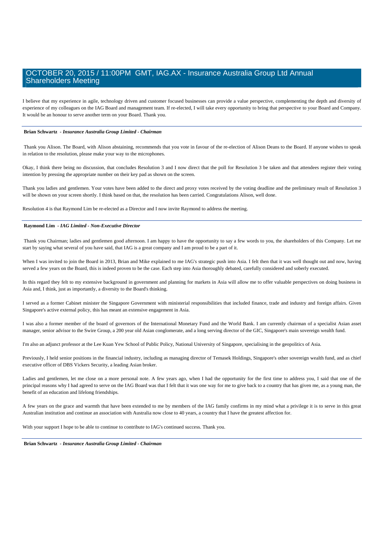I believe that my experience in agile, technology driven and customer focused businesses can provide a value perspective, complementing the depth and diversity of experience of my colleagues on the IAG Board and management team. If re-elected, I will take every opportunity to bring that perspective to your Board and Company. It would be an honour to serve another term on your Board. Thank you.

### **Brian Schwartz** *- Insurance Australia Group Limited - Chairman*

 Thank you Alison. The Board, with Alison abstaining, recommends that you vote in favour of the re-election of Alison Deans to the Board. If anyone wishes to speak in relation to the resolution, please make your way to the microphones.

Okay, I think there being no discussion, that concludes Resolution 3 and I now direct that the poll for Resolution 3 be taken and that attendees register their voting intention by pressing the appropriate number on their key pad as shown on the screen.

Thank you ladies and gentlemen. Your votes have been added to the direct and proxy votes received by the voting deadline and the preliminary result of Resolution 3 will be shown on your screen shortly. I think based on that, the resolution has been carried. Congratulations Alison, well done.

Resolution 4 is that Raymond Lim be re-elected as a Director and I now invite Raymond to address the meeting.

### **Raymond Lim** *- IAG Limited - Non-Executive Director*

 Thank you Chairman; ladies and gentlemen good afternoon. I am happy to have the opportunity to say a few words to you, the shareholders of this Company. Let me start by saying what several of you have said, that IAG is a great company and I am proud to be a part of it.

When I was invited to join the Board in 2013, Brian and Mike explained to me IAG's strategic push into Asia. I felt then that it was well thought out and now, having served a few years on the Board, this is indeed proven to be the case. Each step into Asia thoroughly debated, carefully considered and soberly executed.

In this regard they felt to my extensive background in government and planning for markets in Asia will allow me to offer valuable perspectives on doing business in Asia and, I think, just as importantly, a diversity to the Board's thinking.

I served as a former Cabinet minister the Singapore Government with ministerial responsibilities that included finance, trade and industry and foreign affairs. Given Singapore's active external policy, this has meant an extensive engagement in Asia.

I was also a former member of the board of governors of the International Monetary Fund and the World Bank. I am currently chairman of a specialist Asian asset manager, senior advisor to the Swire Group, a 200 year old Asian conglomerate, and a long serving director of the GIC, Singapore's main sovereign wealth fund.

I'm also an adjunct professor at the Lee Kuan Yew School of Public Policy, National University of Singapore, specialising in the geopolitics of Asia.

Previously, I held senior positions in the financial industry, including as managing director of Temasek Holdings, Singapore's other sovereign wealth fund, and as chief executive officer of DBS Vickers Security, a leading Asian broker.

Ladies and gentlemen, let me close on a more personal note. A few years ago, when I had the opportunity for the first time to address you, I said that one of the principal reasons why I had agreed to serve on the IAG Board was that I felt that it was one way for me to give back to a country that has given me, as a young man, the benefit of an education and lifelong friendships.

A few years on the grace and warmth that have been extended to me by members of the IAG family confirms in my mind what a privilege it is to serve in this great Australian institution and continue an association with Australia now close to 40 years, a country that I have the greatest affection for.

With your support I hope to be able to continue to contribute to IAG's continued success. Thank you.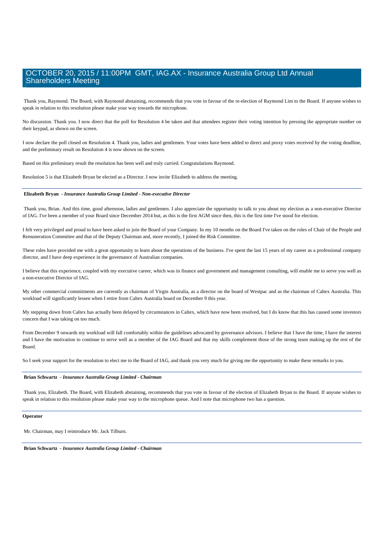Thank you, Raymond. The Board, with Raymond abstaining, recommends that you vote in favour of the re-election of Raymond Lim to the Board. If anyone wishes to speak in relation to this resolution please make your way towards the microphone.

No discussion. Thank you. I now direct that the poll for Resolution 4 be taken and that attendees register their voting intention by pressing the appropriate number on their keypad, as shown on the screen.

I now declare the poll closed on Resolution 4. Thank you, ladies and gentlemen. Your votes have been added to direct and proxy votes received by the voting deadline, and the preliminary result on Resolution 4 is now shown on the screen.

Based on this preliminary result the resolution has been well and truly carried. Congratulations Raymond.

Resolution 5 is that Elizabeth Bryan be elected as a Director. I now invite Elizabeth to address the meeting.

### **Elizabeth Bryan** *- Insurance Australia Group Limited - Non-executive Director*

 Thank you, Brian. And this time, good afternoon, ladies and gentlemen. I also appreciate the opportunity to talk to you about my election as a non-executive Director of IAG. I've been a member of your Board since December 2014 but, as this is the first AGM since then, this is the first time I've stood for election.

I felt very privileged and proud to have been asked to join the Board of your Company. In my 10 months on the Board I've taken on the roles of Chair of the People and Remuneration Committee and that of the Deputy Chairman and, more recently, I joined the Risk Committee.

These roles have provided me with a great opportunity to learn about the operations of the business. I've spent the last 15 years of my career as a professional company director, and I have deep experience in the governance of Australian companies.

I believe that this experience, coupled with my executive career, which was in finance and government and management consulting, will enable me to serve you well as a non-executive Director of IAG.

My other commercial commitments are currently as chairman of Virgin Australia, as a director on the board of Westpac and as the chairman of Caltex Australia. This workload will significantly lessen when I retire from Caltex Australia board on December 9 this year.

My stepping down from Caltex has actually been delayed by circumstances in Caltex, which have now been resolved, but I do know that this has caused some investors concern that I was taking on too much.

From December 9 onwards my workload will fall comfortably within the guidelines advocated by governance advisors. I believe that I have the time, I have the interest and I have the motivation to continue to serve well as a member of the IAG Board and that my skills complement those of the strong team making up the rest of the Board.

So I seek your support for the resolution to elect me to the Board of IAG, and thank you very much for giving me the opportunity to make these remarks to you.

### **Brian Schwartz** *- Insurance Australia Group Limited - Chairman*

 Thank you, Elizabeth. The Board, with Elizabeth abstaining, recommends that you vote in favour of the election of Elizabeth Bryan to the Board. If anyone wishes to speak in relation to this resolution please make your way to the microphone queue. And I note that microphone two has a question.

#### **Operator**

Mr. Chairman, may I reintroduce Mr. Jack Tilburn.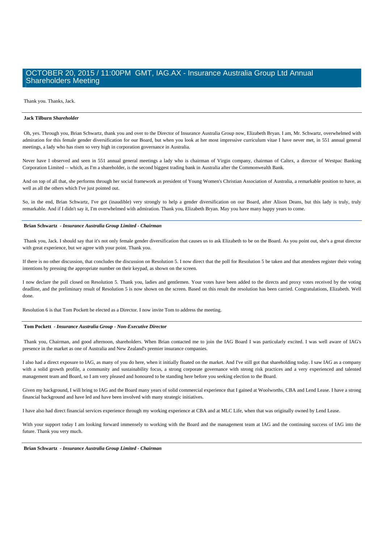Thank you. Thanks, Jack.

### **Jack Tilburn** *Shareholder*

 Oh, yes. Through you, Brian Schwartz, thank you and over to the Director of Insurance Australia Group now, Elizabeth Bryan. I am, Mr. Schwartz, overwhelmed with admiration for this female gender diversification for our Board, but when you look at her most impressive curriculum vitae I have never met, in 551 annual general meetings, a lady who has risen so very high in corporation governance in Australia.

Never have I observed and seen in 551 annual general meetings a lady who is chairman of Virgin company, chairman of Caltex, a director of Westpac Banking Corporation Limited -- which, as I'm a shareholder, is the second biggest trading bank in Australia after the Commonwealth Bank.

And on top of all that, she performs through her social framework as president of Young Women's Christian Association of Australia, a remarkable position to have, as well as all the others which I've just pointed out.

So, in the end, Brian Schwartz, I've got (inaudible) very strongly to help a gender diversification on our Board, after Alison Deans, but this lady is truly, truly remarkable. And if I didn't say it, I'm overwhelmed with admiration. Thank you, Elizabeth Bryan. May you have many happy years to come.

### **Brian Schwartz** *- Insurance Australia Group Limited - Chairman*

 Thank you, Jack. I should say that it's not only female gender diversification that causes us to ask Elizabeth to be on the Board. As you point out, she's a great director with great experience, but we agree with your point. Thank you.

If there is no other discussion, that concludes the discussion on Resolution 5. I now direct that the poll for Resolution 5 be taken and that attendees register their voting intentions by pressing the appropriate number on their keypad, as shown on the screen.

I now declare the poll closed on Resolution 5. Thank you, ladies and gentlemen. Your votes have been added to the directs and proxy votes received by the voting deadline, and the preliminary result of Resolution 5 is now shown on the screen. Based on this result the resolution has been carried. Congratulations, Elizabeth. Well done.

Resolution 6 is that Tom Pockett be elected as a Director. I now invite Tom to address the meeting.

### **Tom Pockett** *- Insurance Australia Group - Non-Executive Director*

 Thank you, Chairman, and good afternoon, shareholders. When Brian contacted me to join the IAG Board I was particularly excited. I was well aware of IAG's presence in the market as one of Australia and New Zealand's premier insurance companies.

I also had a direct exposure to IAG, as many of you do here, when it initially floated on the market. And I've still got that shareholding today. I saw IAG as a company with a solid growth profile, a community and sustainability focus, a strong corporate governance with strong risk practices and a very experienced and talented management team and Board, so I am very pleased and honoured to be standing here before you seeking election to the Board.

Given my background, I will bring to IAG and the Board many years of solid commercial experience that I gained at Woolworths, CBA and Lend Lease. I have a strong financial background and have led and have been involved with many strategic initiatives.

I have also had direct financial services experience through my working experience at CBA and at MLC Life, when that was originally owned by Lend Lease.

With your support today I am looking forward immensely to working with the Board and the management team at IAG and the continuing success of IAG into the future. Thank you very much.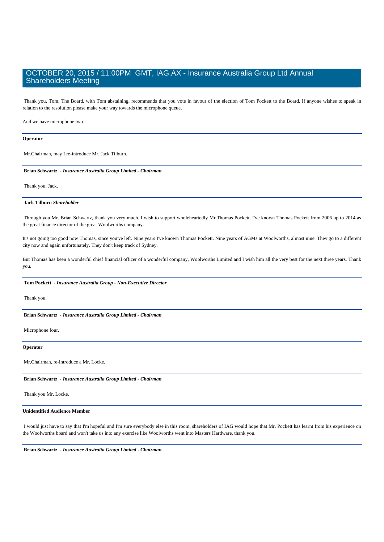Thank you, Tom. The Board, with Tom abstaining, recommends that you vote in favour of the election of Tom Pockett to the Board. If anyone wishes to speak in relation to the resolution please make your way towards the microphone queue.

And we have microphone two.

#### **Operator**

Mr.Chairman, may I re-introduce Mr. Jack Tilburn.

### **Brian Schwartz** *- Insurance Australia Group Limited - Chairman*

Thank you, Jack.

### **Jack Tilburn** *Shareholder*

 Through you Mr. Brian Schwartz, thank you very much. I wish to support wholeheartedly Mr.Thomas Pockett. I've known Thomas Pockett from 2006 up to 2014 as the great finance director of the great Woolworths company.

It's not going too good now Thomas, since you've left. Nine years I've known Thomas Pockett. Nine years of AGMs at Woolworths, almost nine. They go to a different city now and again unfortunately. They don't keep track of Sydney.

But Thomas has been a wonderful chief financial officer of a wonderful company, Woolworths Limited and I wish him all the very best for the next three years. Thank you.

### **Tom Pockett** *- Insurance Australia Group - Non-Executive Director*

Thank you.

 **Brian Schwartz** *- Insurance Australia Group Limited - Chairman* 

Microphone four.

### **Operator**

Mr.Chairman, re-introduce a Mr. Locke.

### **Brian Schwartz** *- Insurance Australia Group Limited - Chairman*

Thank you Mr. Locke.

### **Unidentified Audience Member**

 I would just have to say that I'm hopeful and I'm sure everybody else in this room, shareholders of IAG would hope that Mr. Pockett has learnt from his experience on the Woolworths board and won't take us into any exercise like Woolworths went into Masters Hardware, thank you.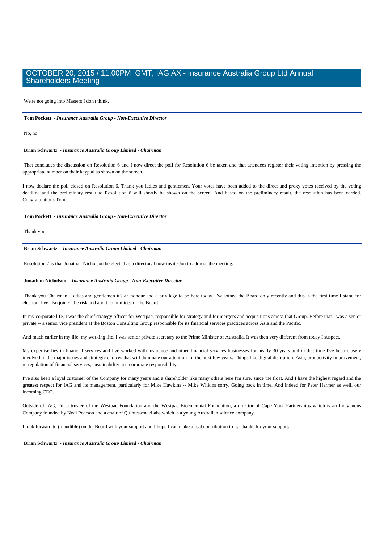We're not going into Masters I don't think.

### **Tom Pockett** *- Insurance Australia Group - Non-Executive Director*

 $N<sub>0</sub>$  no.

#### **Brian Schwartz** *- Insurance Australia Group Limited - Chairman*

 That concludes the discussion on Resolution 6 and I now direct the poll for Resolution 6 be taken and that attendees register their voting intention by pressing the appropriate number on their keypad as shown on the screen.

I now declare the poll closed on Resolution 6. Thank you ladies and gentlemen. Your votes have been added to the direct and proxy votes received by the voting deadline and the preliminary result to Resolution 6 will shortly be shown on the screen. And based on the preliminary result, the resolution has been carried. Congratulations Tom.

### **Tom Pockett** *- Insurance Australia Group - Non-Executive Director*

Thank you.

### **Brian Schwartz** *- Insurance Australia Group Limited - Chairman*

Resolution 7 is that Jonathan Nicholson be elected as a director. I now invite Jon to address the meeting.

### **Jonathan Nicholson** *- Insurance Australia Group - Non-Executive Director*

 Thank you Chairman. Ladies and gentlemen it's an honour and a privilege to be here today. I've joined the Board only recently and this is the first time I stand for election. I've also joined the risk and audit committees of the Board.

In my corporate life, I was the chief strategy officer for Westpac, responsible for strategy and for mergers and acquisitions across that Group. Before that I was a senior private -- a senior vice president at the Boston Consulting Group responsible for its financial services practices across Asia and the Pacific.

And much earlier in my life, my working life, I was senior private secretary to the Prime Minister of Australia. It was then very different from today I suspect.

My expertise lies in financial services and I've worked with insurance and other financial services businesses for nearly 30 years and in that time I've been closely involved in the major issues and strategic choices that will dominate our attention for the next few years. Things like digital disruption, Asia, productivity improvement, re-regulation of financial services, sustainability and corporate responsibility.

I've also been a loyal customer of the Company for many years and a shareholder like many others here I'm sure, since the float. And I have the highest regard and the greatest respect for IAG and its management, particularly for Mike Hawkins -- Mike Wilkins sorry. Going back in time. And indeed for Peter Harmer as well, our incoming CEO.

Outside of IAG, I'm a trustee of the Westpac Foundation and the Westpac Bicentennial Foundation, a director of Cape York Partnerships which is an Indigenous Company founded by Noel Pearson and a chair of QuintessenceLabs which is a young Australian science company.

I look forward to (inaudible) on the Board with your support and I hope I can make a real contribution to it. Thanks for your support.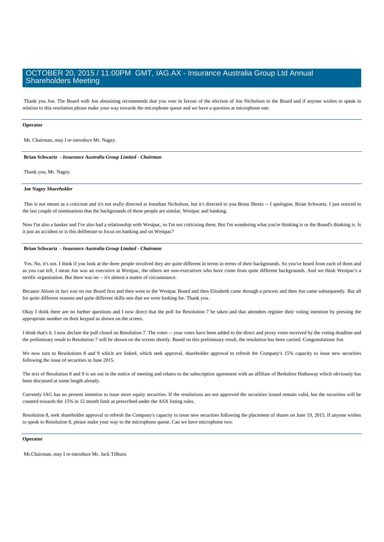Thank you Jon. The Board with Jon abstaining recommends that you vote in favour of the election of Jon Nicholson to the Board and if anyone wishes to speak in relation to this resolution please make your way towards the microphone queue and we have a question at microphone one.

### **Operator**

Mr. Chairman, may I re-introduce Mr. Nagey.

### **Brian Schwartz** *- Insurance Australia Group Limited - Chairman*

Thank you, Mr. Nagey.

#### **Joe Nagey** *Shareholder*

 This is not meant as a criticism and it's not really directed at Jonathan Nicholson, but it's directed to you Brian Shortz -- I apologise, Brian Schwartz. I just noticed in the last couple of nominations that the backgrounds of these people are similar, Westpac and banking.

Now I'm also a banker and I've also had a relationship with Westpac, so I'm not criticising them. But I'm wondering what you're thinking is or the Board's thinking is. Is it just an accident or is this deliberate to focus on banking and on Westpac?

### **Brian Schwartz** *- Insurance Australia Group Limited - Chairman*

Yes. No, it's not. I think if you look at the three people involved they are quite different in terms in terms of their backgrounds. So you've heard from each of them and as you can tell, I mean Jon was an executive at Westpac, the others are non-executives who have come from quite different backgrounds. And we think Westpac's a terrific organisation. But there was no -- it's almost a matter of circumstance.

Because Alison in fact was on our Board first and then went to the Westpac Board and then Elizabeth came through a process and then Jon came subsequently. But all for quite different reasons and quite different skills sets that we were looking for. Thank you.

Okay I think there are no further questions and I now direct that the poll for Resolution 7 be taken and that attendees register their voting intention by pressing the appropriate number on their keypad as shown on the screen.

I think that's it. I now declare the poll closed on Resolution 7. The votes -- your votes have been added to the direct and proxy votes received by the voting deadline and the preliminary result to Resolution 7 will be shown on the screen shortly. Based on this preliminary result, the resolution has been carried. Congratulations Jon.

We now turn to Resolutions 8 and 9 which are linked, which seek approval, shareholder approval to refresh the Company's 15% capacity to issue new securities following the issue of securities in June 2015.

The text of Resolution 8 and 9 is set out in the notice of meeting and relates to the subscription agreement with an affiliate of Berkshire Hathaway which obviously has been discussed at some length already.

Currently IAG has no present intention to issue more equity securities. If the resolutions are not approved the securities issued remain valid, but the securities will be counted towards the 15% in 12 month limit as prescribed under the ASX listing rules.

Resolution 8, seek shareholder approval to refresh the Company's capacity to issue new securities following the placement of shares on June 19, 2015. If anyone wishes to speak to Resolution 8, please make your way to the microphone queue. Can we have microphone two.

### **Operator**

Mr.Chairman, may I re-introduce Mr. Jack Tilburn.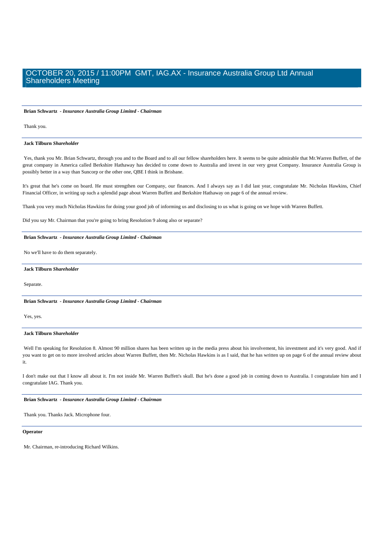### **Brian Schwartz** *- Insurance Australia Group Limited - Chairman*

Thank you.

### **Jack Tilburn** *Shareholder*

 Yes, thank you Mr. Brian Schwartz, through you and to the Board and to all our fellow shareholders here. It seems to be quite admirable that Mr.Warren Buffett, of the great company in America called Berkshire Hathaway has decided to come down to Australia and invest in our very great Company. Insurance Australia Group is possibly better in a way than Suncorp or the other one, QBE I think in Brisbane.

It's great that he's come on board. He must strengthen our Company, our finances. And I always say as I did last year, congratulate Mr. Nicholas Hawkins, Chief Financial Officer, in writing up such a splendid page about Warren Buffett and Berkshire Hathaway on page 6 of the annual review.

Thank you very much Nicholas Hawkins for doing your good job of informing us and disclosing to us what is going on we hope with Warren Buffett.

Did you say Mr. Chairman that you're going to bring Resolution 9 along also or separate?

### **Brian Schwartz** *- Insurance Australia Group Limited - Chairman*

No we'll have to do them separately.

### **Jack Tilburn** *Shareholder*

Separate.

 **Brian Schwartz** *- Insurance Australia Group Limited - Chairman* 

Yes, yes.

### **Jack Tilburn** *Shareholder*

 Well I'm speaking for Resolution 8. Almost 90 million shares has been written up in the media press about his involvement, his investment and it's very good. And if you want to get on to more involved articles about Warren Buffett, then Mr. Nicholas Hawkins is as I said, that he has written up on page 6 of the annual review about it.

I don't make out that I know all about it. I'm not inside Mr. Warren Buffett's skull. But he's done a good job in coming down to Australia. I congratulate him and I congratulate IAG. Thank you.

### **Brian Schwartz** *- Insurance Australia Group Limited - Chairman*

Thank you. Thanks Jack. Microphone four.

### **Operator**

Mr. Chairman, re-introducing Richard Wilkins.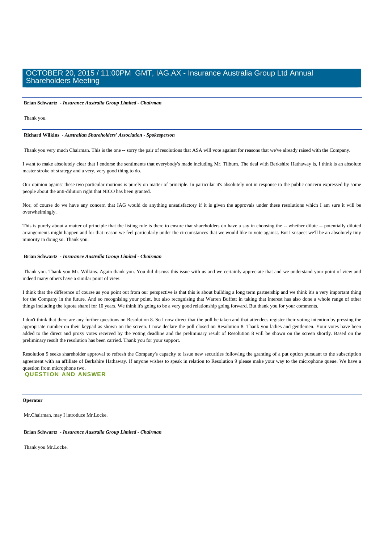#### **Brian Schwartz** *- Insurance Australia Group Limited - Chairman*

Thank you.

#### **Richard Wilkins** *- Australian Shareholders' Association - Spokesperson*

Thank you very much Chairman. This is the one -- sorry the pair of resolutions that ASA will vote against for reasons that we've already raised with the Company.

I want to make absolutely clear that I endorse the sentiments that everybody's made including Mr. Tilburn. The deal with Berkshire Hathaway is, I think is an absolute master stroke of strategy and a very, very good thing to do.

Our opinion against these two particular motions is purely on matter of principle. In particular it's absolutely not in response to the public concern expressed by some people about the anti-dilution right that NICO has been granted.

Nor, of course do we have any concern that IAG would do anything unsatisfactory if it is given the approvals under these resolutions which I am sure it will be overwhelmingly.

This is purely about a matter of principle that the listing rule is there to ensure that shareholders do have a say in choosing the -- whether dilute -- potentially diluted arrangements might happen and for that reason we feel particularly under the circumstances that we would like to vote against. But I suspect we'll be an absolutely tiny minority in doing so. Thank you.

### **Brian Schwartz** *- Insurance Australia Group Limited - Chairman*

Thank you. Thank you Mr. Wilkins. Again thank you. You did discuss this issue with us and we certainly appreciate that and we understand your point of view and indeed many others have a similar point of view.

I think that the difference of course as you point out from our perspective is that this is about building a long term partnership and we think it's a very important thing for the Company in the future. And so recognising your point, but also recognising that Warren Buffett in taking that interest has also done a whole range of other things including the [quota share] for 10 years. We think it's going to be a very good relationship going forward. But thank you for your comments.

I don't think that there are any further questions on Resolution 8. So I now direct that the poll be taken and that attendees register their voting intention by pressing the appropriate number on their keypad as shown on the screen. I now declare the poll closed on Resolution 8. Thank you ladies and gentlemen. Your votes have been added to the direct and proxy votes received by the voting deadline and the preliminary result of Resolution 8 will be shown on the screen shortly. Based on the preliminary result the resolution has been carried. Thank you for your support.

Resolution 9 seeks shareholder approval to refresh the Company's capacity to issue new securities following the granting of a put option pursuant to the subscription agreement with an affiliate of Berkshire Hathaway. If anyone wishes to speak in relation to Resolution 9 please make your way to the microphone queue. We have a question from microphone two. **QUESTION AND ANSWER** 

**Operator**

Mr.Chairman, may I introduce Mr.Locke.

 **Brian Schwartz** *- Insurance Australia Group Limited - Chairman* 

Thank you Mr.Locke.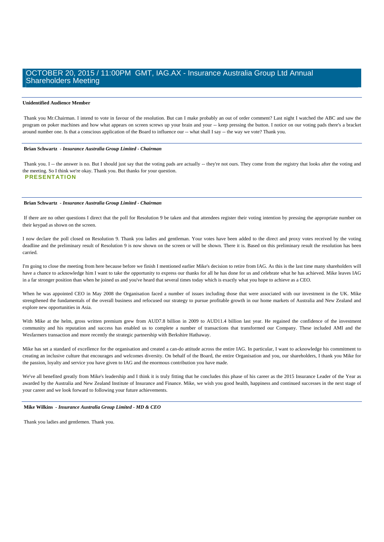### **Unidentified Audience Member**

 Thank you Mr.Chairman. I intend to vote in favour of the resolution. But can I make probably an out of order comment? Last night I watched the ABC and saw the program on poker machines and how what appears on screen screws up your brain and your -- keep pressing the button. I notice on our voting pads there's a bracket around number one. Is that a conscious application of the Board to influence our -- what shall I say -- the way we vote? Thank you.

#### **Brian Schwartz** *- Insurance Australia Group Limited - Chairman*

Thank you. I -- the answer is no. But I should just say that the voting pads are actually -- they're not ours. They come from the registry that looks after the voting and the meeting. So I think we're okay. Thank you. But thanks for your question. **PRESENTATION** 

### **Brian Schwartz** *- Insurance Australia Group Limited - Chairman*

 If there are no other questions I direct that the poll for Resolution 9 be taken and that attendees register their voting intention by pressing the appropriate number on their keypad as shown on the screen.

I now declare the poll closed on Resolution 9. Thank you ladies and gentleman. Your votes have been added to the direct and proxy votes received by the voting deadline and the preliminary result of Resolution 9 is now shown on the screen or will be shown. There it is. Based on this preliminary result the resolution has been carried.

I'm going to close the meeting from here because before we finish I mentioned earlier Mike's decision to retire from IAG. As this is the last time many shareholders will have a chance to acknowledge him I want to take the opportunity to express our thanks for all he has done for us and celebrate what he has achieved. Mike leaves IAG in a far stronger position than when he joined us and you've heard that several times today which is exactly what you hope to achieve as a CEO.

When he was appointed CEO in May 2008 the Organisation faced a number of issues including those that were associated with our investment in the UK. Mike strengthened the fundamentals of the overall business and refocused our strategy to pursue profitable growth in our home markets of Australia and New Zealand and explore new opportunities in Asia.

With Mike at the helm, gross written premium grew from AUD7.8 billion in 2009 to AUD11.4 billion last year. He regained the confidence of the investment community and his reputation and success has enabled us to complete a number of transactions that transformed our Company. These included AMI and the Wesfarmers transaction and more recently the strategic partnership with Berkshire Hathaway.

Mike has set a standard of excellence for the organisation and created a can-do attitude across the entire IAG. In particular, I want to acknowledge his commitment to creating an inclusive culture that encourages and welcomes diversity. On behalf of the Board, the entire Organisation and you, our shareholders, I thank you Mike for the passion, loyalty and service you have given to IAG and the enormous contribution you have made.

We've all benefited greatly from Mike's leadership and I think it is truly fitting that he concludes this phase of his career as the 2015 Insurance Leader of the Year as awarded by the Australia and New Zealand Institute of Insurance and Finance. Mike, we wish you good health, happiness and continued successes in the next stage of your career and we look forward to following your future achievements.

### **Mike Wilkins** *- Insurance Australia Group Limited - MD & CEO*

Thank you ladies and gentlemen. Thank you.